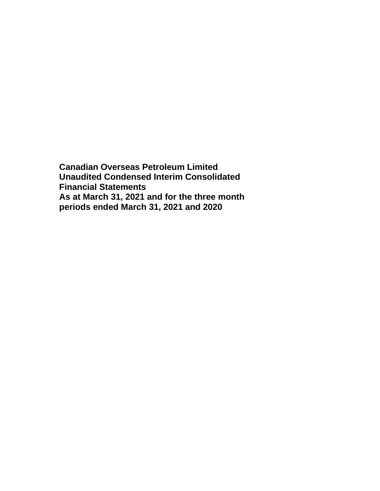**Canadian Overseas Petroleum Limited Unaudited Condensed Interim Consolidated Financial Statements As at March 31, 2021 and for the three month periods ended March 31, 2021 and 2020**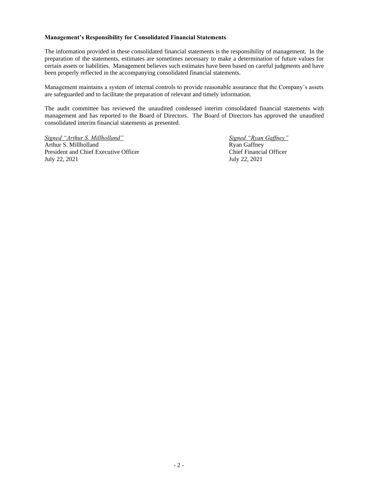## **Management's Responsibility for Consolidated Financial Statements**

The information provided in these consolidated financial statements is the responsibility of management. In the preparation of the statements, estimates are sometimes necessary to make a determination of future values for certain assets or liabilities. Management believes such estimates have been based on careful judgments and have been properly reflected in the accompanying consolidated financial statements.

Management maintains a system of internal controls to provide reasonable assurance that the Company's assets are safeguarded and to facilitate the preparation of relevant and timely information.

The audit committee has reviewed the unaudited condensed interim consolidated financial statements with management and has reported to the Board of Directors. The Board of Directors has approved the unaudited consolidated interim financial statements as presented.

*Signed "Arthur S. Millholland" Signed "Ryan Gaffney"* Arthur S. Millholland<br>
President and Chief Executive Officer<br>
Chief Financial Officer President and Chief Executive Officer July 22, 2021 July 22, 2021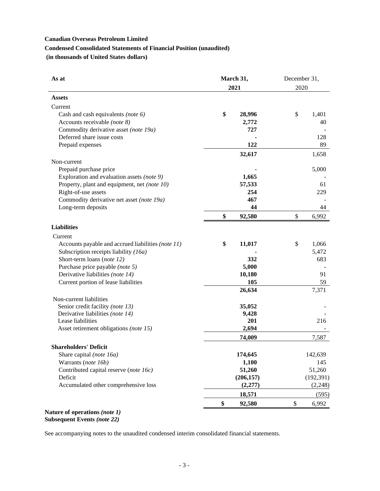# **Canadian Overseas Petroleum Limited Condensed Consolidated Statements of Financial Position (unaudited) (in thousands of United States dollars)**

| As at                                              | March 31,    | December 31, |  |
|----------------------------------------------------|--------------|--------------|--|
|                                                    | 2021         | 2020         |  |
| <b>Assets</b>                                      |              |              |  |
| Current                                            |              |              |  |
| Cash and cash equivalents (note $6$ )              | \$<br>28,996 | \$<br>1,401  |  |
| Accounts receivable (note 8)                       | 2,772        | 40           |  |
| Commodity derivative asset (note 19a)              | 727          |              |  |
| Deferred share issue costs                         |              | 128          |  |
| Prepaid expenses                                   | 122          | 89           |  |
|                                                    | 32,617       | 1,658        |  |
| Non-current                                        |              |              |  |
| Prepaid purchase price                             |              | 5,000        |  |
| Exploration and evaluation assets (note 9)         | 1,665        |              |  |
| Property, plant and equipment, net (note 10)       | 57,533       | 61           |  |
| Right-of-use assets                                | 254          | 229          |  |
| Commodity derivative net asset (note 19a)          | 467          |              |  |
| Long-term deposits                                 | 44           | 44           |  |
|                                                    | \$<br>92,580 | \$<br>6,992  |  |
| <b>Liabilities</b>                                 |              |              |  |
| Current                                            |              |              |  |
| Accounts payable and accrued liabilities (note 11) | \$<br>11,017 | \$<br>1,066  |  |
| Subscription receipts liability (16a)              |              | 5,472        |  |
| Short-term loans (note 12)                         | 332          | 683          |  |
| Purchase price payable (note 5)                    | 5,000        |              |  |
| Derivative liabilities (note 14)                   | 10,180       | 91           |  |
| Current portion of lease liabilities               | 105          | 59           |  |
|                                                    | 26,634       | 7,371        |  |
| Non-current liabilities                            |              |              |  |
| Senior credit facility (note 13)                   | 35,052       |              |  |
| Derivative liabilities (note 14)                   | 9,428        |              |  |
| Lease liabilities                                  | 201          | 216          |  |
| Asset retirement obligations (note 15)             | 2,694        |              |  |
|                                                    | 74,009       | 7,587        |  |
| <b>Shareholders' Deficit</b>                       |              |              |  |
| Share capital (note 16a)                           | 174,645      | 142,639      |  |
| Warrants (note 16b)                                | 1,100        | 145          |  |
| Contributed capital reserve (note 16c)             | 51,260       | 51,260       |  |
| Deficit                                            | (206, 157)   | (192, 391)   |  |
| Accumulated other comprehensive loss               | (2,277)      | (2,248)      |  |
|                                                    | 18,571       | (595)        |  |
|                                                    | \$<br>92,580 | \$<br>6,992  |  |
|                                                    |              |              |  |

**Nature of operations** *(note 1)* **Subsequent Events** *(note 22)*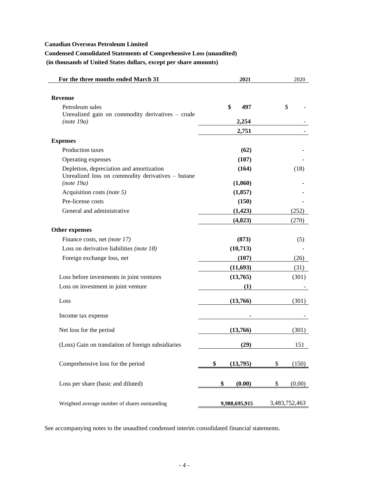# **Condensed Consolidated Statements of Comprehensive Loss (unaudited)**

**(in thousands of United States dollars, except per share amounts)**

| For the three months ended March 31                                                           | 2021           | 2020          |
|-----------------------------------------------------------------------------------------------|----------------|---------------|
| <b>Revenue</b>                                                                                |                |               |
| Petroleum sales                                                                               | \$<br>497      | \$            |
| Unrealized gain on commodity derivatives - crude                                              |                |               |
| (note 19a)                                                                                    | 2,254          |               |
|                                                                                               | 2,751          |               |
| <b>Expenses</b>                                                                               |                |               |
| Production taxes                                                                              | (62)           |               |
| Operating expenses                                                                            | (107)          |               |
| Depletion, depreciation and amortization<br>Unrealized loss on commodity derivatives - butane | (164)          | (18)          |
| (note 19a)                                                                                    | (1,060)        |               |
| Acquisition costs (note 5)                                                                    | (1, 857)       |               |
| Pre-license costs                                                                             | (150)          |               |
| General and administrative                                                                    | (1, 423)       | (252)         |
|                                                                                               | (4,823)        | (270)         |
| Other expenses                                                                                |                |               |
| Finance costs, net <i>(note 17)</i>                                                           | (873)          | (5)           |
| Loss on derivative liabilities (note 18)                                                      | (10,713)       |               |
| Foreign exchange loss, net                                                                    | (107)          | (26)          |
|                                                                                               | (11, 693)      | (31)          |
| Loss before investments in joint ventures                                                     | (13,765)       | (301)         |
| Loss on investment in joint venture                                                           | (1)            |               |
|                                                                                               |                |               |
| Loss                                                                                          | (13,766)       | (301)         |
| Income tax expense                                                                            |                |               |
| Net loss for the period                                                                       | (13,766)       | (301)         |
| (Loss) Gain on translation of foreign subsidiaries                                            | (29)           | 151           |
|                                                                                               |                |               |
| Comprehensive loss for the period                                                             | \$<br>(13,795) | \$<br>(150)   |
| Loss per share (basic and diluted)                                                            | \$<br>(0.00)   | \$<br>(0.00)  |
|                                                                                               |                |               |
| Weighted average number of shares outstanding                                                 | 9,988,695,915  | 3,483,752,463 |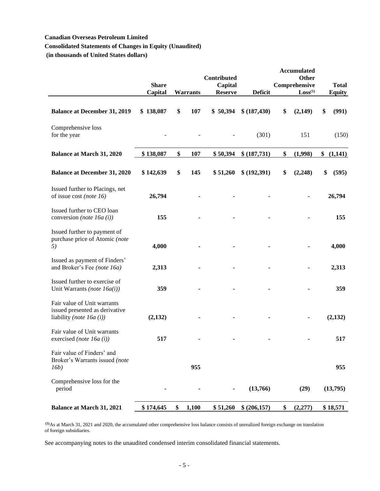# **Consolidated Statements of Changes in Equity (Unaudited)**

**(in thousands of United States dollars)**

|                                                                                             |                         |                 | <b>Contributed</b>        |                | <b>Accumulated</b><br>Other          |                               |
|---------------------------------------------------------------------------------------------|-------------------------|-----------------|---------------------------|----------------|--------------------------------------|-------------------------------|
|                                                                                             | <b>Share</b><br>Capital | <b>Warrants</b> | Capital<br><b>Reserve</b> | <b>Deficit</b> | Comprehensive<br>Loss <sup>(1)</sup> | <b>Total</b><br><b>Equity</b> |
| <b>Balance at December 31, 2019</b>                                                         | \$138,087               | \$<br>107       | \$50,394                  | \$ (187, 430)  | \$<br>(2,149)                        | \$<br>(991)                   |
| Comprehensive loss<br>for the year                                                          |                         |                 |                           | (301)          | 151                                  | (150)                         |
| <b>Balance at March 31, 2020</b>                                                            | \$138,087               | \$<br>107       | \$50,394                  | \$ (187,731)   | \$<br>(1,998)                        | (1,141)                       |
| <b>Balance at December 31, 2020</b>                                                         | \$142,639               | \$<br>145       | \$51,260                  | \$ (192,391)   | \$<br>(2, 248)                       | \$<br>(595)                   |
| Issued further to Placings, net<br>of issue cost (note $16$ )                               | 26,794                  |                 |                           |                |                                      | 26,794                        |
| Issued further to CEO loan<br>conversion (note 16a (i))                                     | 155                     |                 |                           |                |                                      | 155                           |
| Issued further to payment of<br>purchase price of Atomic (note<br>5)                        | 4,000                   |                 |                           |                |                                      | 4,000                         |
| Issued as payment of Finders'<br>and Broker's Fee (note 16a)                                | 2,313                   |                 |                           |                |                                      | 2,313                         |
| Issued further to exercise of<br>Unit Warrants (note 16a(i))                                | 359                     |                 |                           |                |                                      | 359                           |
| Fair value of Unit warrants<br>issued presented as derivative<br>liability (note $16a(i)$ ) | (2,132)                 |                 |                           |                |                                      | (2,132)                       |
| Fair value of Unit warrants<br>exercised (note 16 $a(i)$ )                                  | 517                     |                 |                           |                |                                      | 517                           |
| Fair value of Finders' and<br>Broker's Warrants issued (note<br>16b)                        |                         | 955             |                           |                |                                      | 955                           |
| Comprehensive loss for the<br>period                                                        |                         |                 |                           | (13,766)       | (29)                                 | (13,795)                      |
| <b>Balance at March 31, 2021</b>                                                            | \$174,645               | \$<br>1,100     | \$51,260                  | \$ (206, 157)  | \$<br>(2,277)                        | \$18,571                      |

**(1)**As at March 31, 2021 and 2020, the accumulated other comprehensive loss balance consists of unrealized foreign exchange on translation of foreign subsidiaries.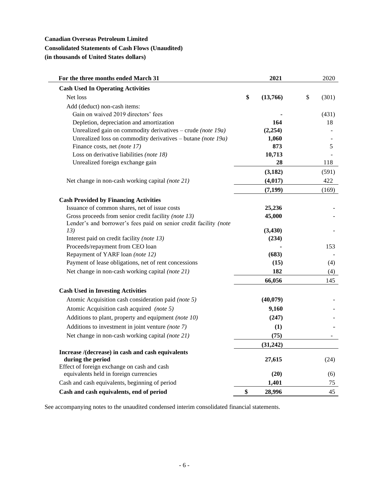# **Canadian Overseas Petroleum Limited Consolidated Statements of Cash Flows (Unaudited) (in thousands of United States dollars)**

| <b>Cash Used In Operating Activities</b><br>\$<br>Net loss<br>\$<br>(301)<br>(13,766)<br>Add (deduct) non-cash items:<br>Gain on waived 2019 directors' fees<br>(431)<br>164<br>Depletion, depreciation and amortization<br>18<br>Unrealized gain on commodity derivatives – crude (note $19a$ )<br>(2,254)<br>Unrealized loss on commodity derivatives – butane (note 19a)<br>1,060<br>Finance costs, net (note 17)<br>873<br>5<br>Loss on derivative liabilities (note 18)<br>10,713<br>Unrealized foreign exchange gain<br>28<br>118<br>(3,182)<br>(591)<br>422<br>(4,017)<br>Net change in non-cash working capital (note 21)<br>(7, 199)<br>(169)<br><b>Cash Provided by Financing Activities</b><br>Issuance of common shares, net of issue costs<br>25,236<br>45,000<br>Gross proceeds from senior credit facility (note 13)<br>Lender's and borrower's fees paid on senior credit facility (note<br>13)<br>(3, 430)<br>Interest paid on credit facility (note 13)<br>(234)<br>Proceeds/repayment from CEO loan<br>153<br>Repayment of YARF loan (note 12)<br>(683)<br>Payment of lease obligations, net of rent concessions<br>(15)<br>(4)<br>Net change in non-cash working capital (note 21)<br>182<br>(4)<br>66,056<br>145<br><b>Cash Used in Investing Activities</b><br>Atomic Acquisition cash consideration paid (note 5)<br>(40,079)<br>Atomic Acquisition cash acquired (note 5)<br>9,160<br>Additions to plant, property and equipment (note 10)<br>(247)<br>Additions to investment in joint venture (note 7)<br>(1)<br>Net change in non-cash working capital (note 21)<br>(75)<br>(31, 242)<br>Increase /(decrease) in cash and cash equivalents<br>during the period<br>27,615<br>(24)<br>Effect of foreign exchange on cash and cash<br>equivalents held in foreign currencies<br>(20)<br>(6)<br>Cash and cash equivalents, beginning of period<br>1,401<br>75<br>\$<br>28,996<br>Cash and cash equivalents, end of period<br>45 | For the three months ended March 31 | 2021 | 2020 |
|---------------------------------------------------------------------------------------------------------------------------------------------------------------------------------------------------------------------------------------------------------------------------------------------------------------------------------------------------------------------------------------------------------------------------------------------------------------------------------------------------------------------------------------------------------------------------------------------------------------------------------------------------------------------------------------------------------------------------------------------------------------------------------------------------------------------------------------------------------------------------------------------------------------------------------------------------------------------------------------------------------------------------------------------------------------------------------------------------------------------------------------------------------------------------------------------------------------------------------------------------------------------------------------------------------------------------------------------------------------------------------------------------------------------------------------------------------------------------------------------------------------------------------------------------------------------------------------------------------------------------------------------------------------------------------------------------------------------------------------------------------------------------------------------------------------------------------------------------------------------------------------------------------------------------------------------------------|-------------------------------------|------|------|
|                                                                                                                                                                                                                                                                                                                                                                                                                                                                                                                                                                                                                                                                                                                                                                                                                                                                                                                                                                                                                                                                                                                                                                                                                                                                                                                                                                                                                                                                                                                                                                                                                                                                                                                                                                                                                                                                                                                                                         |                                     |      |      |
|                                                                                                                                                                                                                                                                                                                                                                                                                                                                                                                                                                                                                                                                                                                                                                                                                                                                                                                                                                                                                                                                                                                                                                                                                                                                                                                                                                                                                                                                                                                                                                                                                                                                                                                                                                                                                                                                                                                                                         |                                     |      |      |
|                                                                                                                                                                                                                                                                                                                                                                                                                                                                                                                                                                                                                                                                                                                                                                                                                                                                                                                                                                                                                                                                                                                                                                                                                                                                                                                                                                                                                                                                                                                                                                                                                                                                                                                                                                                                                                                                                                                                                         |                                     |      |      |
|                                                                                                                                                                                                                                                                                                                                                                                                                                                                                                                                                                                                                                                                                                                                                                                                                                                                                                                                                                                                                                                                                                                                                                                                                                                                                                                                                                                                                                                                                                                                                                                                                                                                                                                                                                                                                                                                                                                                                         |                                     |      |      |
|                                                                                                                                                                                                                                                                                                                                                                                                                                                                                                                                                                                                                                                                                                                                                                                                                                                                                                                                                                                                                                                                                                                                                                                                                                                                                                                                                                                                                                                                                                                                                                                                                                                                                                                                                                                                                                                                                                                                                         |                                     |      |      |
|                                                                                                                                                                                                                                                                                                                                                                                                                                                                                                                                                                                                                                                                                                                                                                                                                                                                                                                                                                                                                                                                                                                                                                                                                                                                                                                                                                                                                                                                                                                                                                                                                                                                                                                                                                                                                                                                                                                                                         |                                     |      |      |
|                                                                                                                                                                                                                                                                                                                                                                                                                                                                                                                                                                                                                                                                                                                                                                                                                                                                                                                                                                                                                                                                                                                                                                                                                                                                                                                                                                                                                                                                                                                                                                                                                                                                                                                                                                                                                                                                                                                                                         |                                     |      |      |
|                                                                                                                                                                                                                                                                                                                                                                                                                                                                                                                                                                                                                                                                                                                                                                                                                                                                                                                                                                                                                                                                                                                                                                                                                                                                                                                                                                                                                                                                                                                                                                                                                                                                                                                                                                                                                                                                                                                                                         |                                     |      |      |
|                                                                                                                                                                                                                                                                                                                                                                                                                                                                                                                                                                                                                                                                                                                                                                                                                                                                                                                                                                                                                                                                                                                                                                                                                                                                                                                                                                                                                                                                                                                                                                                                                                                                                                                                                                                                                                                                                                                                                         |                                     |      |      |
|                                                                                                                                                                                                                                                                                                                                                                                                                                                                                                                                                                                                                                                                                                                                                                                                                                                                                                                                                                                                                                                                                                                                                                                                                                                                                                                                                                                                                                                                                                                                                                                                                                                                                                                                                                                                                                                                                                                                                         |                                     |      |      |
|                                                                                                                                                                                                                                                                                                                                                                                                                                                                                                                                                                                                                                                                                                                                                                                                                                                                                                                                                                                                                                                                                                                                                                                                                                                                                                                                                                                                                                                                                                                                                                                                                                                                                                                                                                                                                                                                                                                                                         |                                     |      |      |
|                                                                                                                                                                                                                                                                                                                                                                                                                                                                                                                                                                                                                                                                                                                                                                                                                                                                                                                                                                                                                                                                                                                                                                                                                                                                                                                                                                                                                                                                                                                                                                                                                                                                                                                                                                                                                                                                                                                                                         |                                     |      |      |
|                                                                                                                                                                                                                                                                                                                                                                                                                                                                                                                                                                                                                                                                                                                                                                                                                                                                                                                                                                                                                                                                                                                                                                                                                                                                                                                                                                                                                                                                                                                                                                                                                                                                                                                                                                                                                                                                                                                                                         |                                     |      |      |
|                                                                                                                                                                                                                                                                                                                                                                                                                                                                                                                                                                                                                                                                                                                                                                                                                                                                                                                                                                                                                                                                                                                                                                                                                                                                                                                                                                                                                                                                                                                                                                                                                                                                                                                                                                                                                                                                                                                                                         |                                     |      |      |
|                                                                                                                                                                                                                                                                                                                                                                                                                                                                                                                                                                                                                                                                                                                                                                                                                                                                                                                                                                                                                                                                                                                                                                                                                                                                                                                                                                                                                                                                                                                                                                                                                                                                                                                                                                                                                                                                                                                                                         |                                     |      |      |
|                                                                                                                                                                                                                                                                                                                                                                                                                                                                                                                                                                                                                                                                                                                                                                                                                                                                                                                                                                                                                                                                                                                                                                                                                                                                                                                                                                                                                                                                                                                                                                                                                                                                                                                                                                                                                                                                                                                                                         |                                     |      |      |
|                                                                                                                                                                                                                                                                                                                                                                                                                                                                                                                                                                                                                                                                                                                                                                                                                                                                                                                                                                                                                                                                                                                                                                                                                                                                                                                                                                                                                                                                                                                                                                                                                                                                                                                                                                                                                                                                                                                                                         |                                     |      |      |
|                                                                                                                                                                                                                                                                                                                                                                                                                                                                                                                                                                                                                                                                                                                                                                                                                                                                                                                                                                                                                                                                                                                                                                                                                                                                                                                                                                                                                                                                                                                                                                                                                                                                                                                                                                                                                                                                                                                                                         |                                     |      |      |
|                                                                                                                                                                                                                                                                                                                                                                                                                                                                                                                                                                                                                                                                                                                                                                                                                                                                                                                                                                                                                                                                                                                                                                                                                                                                                                                                                                                                                                                                                                                                                                                                                                                                                                                                                                                                                                                                                                                                                         |                                     |      |      |
|                                                                                                                                                                                                                                                                                                                                                                                                                                                                                                                                                                                                                                                                                                                                                                                                                                                                                                                                                                                                                                                                                                                                                                                                                                                                                                                                                                                                                                                                                                                                                                                                                                                                                                                                                                                                                                                                                                                                                         |                                     |      |      |
|                                                                                                                                                                                                                                                                                                                                                                                                                                                                                                                                                                                                                                                                                                                                                                                                                                                                                                                                                                                                                                                                                                                                                                                                                                                                                                                                                                                                                                                                                                                                                                                                                                                                                                                                                                                                                                                                                                                                                         |                                     |      |      |
|                                                                                                                                                                                                                                                                                                                                                                                                                                                                                                                                                                                                                                                                                                                                                                                                                                                                                                                                                                                                                                                                                                                                                                                                                                                                                                                                                                                                                                                                                                                                                                                                                                                                                                                                                                                                                                                                                                                                                         |                                     |      |      |
|                                                                                                                                                                                                                                                                                                                                                                                                                                                                                                                                                                                                                                                                                                                                                                                                                                                                                                                                                                                                                                                                                                                                                                                                                                                                                                                                                                                                                                                                                                                                                                                                                                                                                                                                                                                                                                                                                                                                                         |                                     |      |      |
|                                                                                                                                                                                                                                                                                                                                                                                                                                                                                                                                                                                                                                                                                                                                                                                                                                                                                                                                                                                                                                                                                                                                                                                                                                                                                                                                                                                                                                                                                                                                                                                                                                                                                                                                                                                                                                                                                                                                                         |                                     |      |      |
|                                                                                                                                                                                                                                                                                                                                                                                                                                                                                                                                                                                                                                                                                                                                                                                                                                                                                                                                                                                                                                                                                                                                                                                                                                                                                                                                                                                                                                                                                                                                                                                                                                                                                                                                                                                                                                                                                                                                                         |                                     |      |      |
|                                                                                                                                                                                                                                                                                                                                                                                                                                                                                                                                                                                                                                                                                                                                                                                                                                                                                                                                                                                                                                                                                                                                                                                                                                                                                                                                                                                                                                                                                                                                                                                                                                                                                                                                                                                                                                                                                                                                                         |                                     |      |      |
|                                                                                                                                                                                                                                                                                                                                                                                                                                                                                                                                                                                                                                                                                                                                                                                                                                                                                                                                                                                                                                                                                                                                                                                                                                                                                                                                                                                                                                                                                                                                                                                                                                                                                                                                                                                                                                                                                                                                                         |                                     |      |      |
|                                                                                                                                                                                                                                                                                                                                                                                                                                                                                                                                                                                                                                                                                                                                                                                                                                                                                                                                                                                                                                                                                                                                                                                                                                                                                                                                                                                                                                                                                                                                                                                                                                                                                                                                                                                                                                                                                                                                                         |                                     |      |      |
|                                                                                                                                                                                                                                                                                                                                                                                                                                                                                                                                                                                                                                                                                                                                                                                                                                                                                                                                                                                                                                                                                                                                                                                                                                                                                                                                                                                                                                                                                                                                                                                                                                                                                                                                                                                                                                                                                                                                                         |                                     |      |      |
|                                                                                                                                                                                                                                                                                                                                                                                                                                                                                                                                                                                                                                                                                                                                                                                                                                                                                                                                                                                                                                                                                                                                                                                                                                                                                                                                                                                                                                                                                                                                                                                                                                                                                                                                                                                                                                                                                                                                                         |                                     |      |      |
|                                                                                                                                                                                                                                                                                                                                                                                                                                                                                                                                                                                                                                                                                                                                                                                                                                                                                                                                                                                                                                                                                                                                                                                                                                                                                                                                                                                                                                                                                                                                                                                                                                                                                                                                                                                                                                                                                                                                                         |                                     |      |      |
|                                                                                                                                                                                                                                                                                                                                                                                                                                                                                                                                                                                                                                                                                                                                                                                                                                                                                                                                                                                                                                                                                                                                                                                                                                                                                                                                                                                                                                                                                                                                                                                                                                                                                                                                                                                                                                                                                                                                                         |                                     |      |      |
|                                                                                                                                                                                                                                                                                                                                                                                                                                                                                                                                                                                                                                                                                                                                                                                                                                                                                                                                                                                                                                                                                                                                                                                                                                                                                                                                                                                                                                                                                                                                                                                                                                                                                                                                                                                                                                                                                                                                                         |                                     |      |      |
|                                                                                                                                                                                                                                                                                                                                                                                                                                                                                                                                                                                                                                                                                                                                                                                                                                                                                                                                                                                                                                                                                                                                                                                                                                                                                                                                                                                                                                                                                                                                                                                                                                                                                                                                                                                                                                                                                                                                                         |                                     |      |      |
|                                                                                                                                                                                                                                                                                                                                                                                                                                                                                                                                                                                                                                                                                                                                                                                                                                                                                                                                                                                                                                                                                                                                                                                                                                                                                                                                                                                                                                                                                                                                                                                                                                                                                                                                                                                                                                                                                                                                                         |                                     |      |      |
|                                                                                                                                                                                                                                                                                                                                                                                                                                                                                                                                                                                                                                                                                                                                                                                                                                                                                                                                                                                                                                                                                                                                                                                                                                                                                                                                                                                                                                                                                                                                                                                                                                                                                                                                                                                                                                                                                                                                                         |                                     |      |      |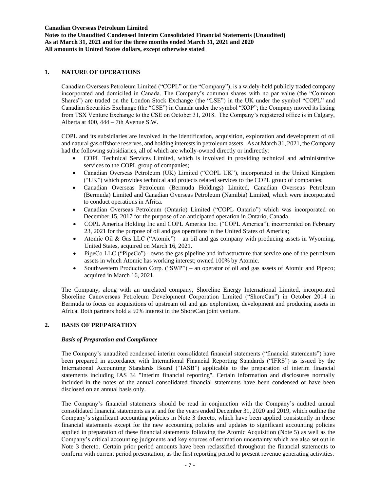**Notes to the Unaudited Condensed Interim Consolidated Financial Statements (Unaudited) As at March 31, 2021 and for the three months ended March 31, 2021 and 2020 All amounts in United States dollars, except otherwise stated**

# **1. NATURE OF OPERATIONS**

Canadian Overseas Petroleum Limited ("COPL" or the "Company"), is a widely-held publicly traded company incorporated and domiciled in Canada. The Company's common shares with no par value (the "Common Shares") are traded on the London Stock Exchange (the "LSE") in the UK under the symbol "COPL" and Canadian Securities Exchange (the "CSE") in Canada under the symbol "XOP"; the Company moved its listing from TSX Venture Exchange to the CSE on October 31, 2018. The Company's registered office is in Calgary, Alberta at 400, 444 – 7th Avenue S.W.

COPL and its subsidiaries are involved in the identification, acquisition, exploration and development of oil and natural gas offshore reserves, and holding interests in petroleum assets. As at March 31, 2021, the Company had the following subsidiaries, all of which are wholly-owned directly or indirectly:

- COPL Technical Services Limited, which is involved in providing technical and administrative services to the COPL group of companies;
- Canadian Overseas Petroleum (UK) Limited ("COPL UK"), incorporated in the United Kingdom ("UK") which provides technical and projects related services to the COPL group of companies;
- Canadian Overseas Petroleum (Bermuda Holdings) Limited, Canadian Overseas Petroleum (Bermuda) Limited and Canadian Overseas Petroleum (Namibia) Limited, which were incorporated to conduct operations in Africa.
- Canadian Overseas Petroleum (Ontario) Limited ("COPL Ontario") which was incorporated on December 15, 2017 for the purpose of an anticipated operation in Ontario, Canada.
- COPL America Holding Inc and COPL America Inc. ("COPL America"), incorporated on February 23, 2021 for the purpose of oil and gas operations in the United States of America;
- Atomic Oil & Gas LLC ("Atomic") an oil and gas company with producing assets in Wyoming, United States, acquired on March 16, 2021.
- PipeCo LLC ("PipeCo") –owns the gas pipeline and infrastructure that service one of the petroleum assets in which Atomic has working interest; owned 100% by Atomic.
- Southwestern Production Corp. ("SWP") an operator of oil and gas assets of Atomic and Pipeco; acquired in March 16, 2021.

The Company, along with an unrelated company, Shoreline Energy International Limited, incorporated Shoreline Canoverseas Petroleum Development Corporation Limited ("ShoreCan") in October 2014 in Bermuda to focus on acquisitions of upstream oil and gas exploration, development and producing assets in Africa. Both partners hold a 50% interest in the ShoreCan joint venture.

# **2. BASIS OF PREPARATION**

# *Basis of Preparation and Compliance*

The Company's unaudited condensed interim consolidated financial statements ("financial statements") have been prepared in accordance with International Financial Reporting Standards ("IFRS") as issued by the International Accounting Standards Board ("IASB") applicable to the preparation of interim financial statements including IAS 34 "Interim financial reporting". Certain information and disclosures normally included in the notes of the annual consolidated financial statements have been condensed or have been disclosed on an annual basis only.

The Company's financial statements should be read in conjunction with the Company's audited annual consolidated financial statements as at and for the years ended December 31, 2020 and 2019, which outline the Company's significant accounting policies in Note 3 thereto, which have been applied consistently in these financial statements except for the new accounting policies and updates to significant accounting policies applied in preparation of these financial statements following the Atomic Acquisition (Note 5) as well as the Company's critical accounting judgments and key sources of estimation uncertainty which are also set out in Note 3 thereto. Certain prior period amounts have been reclassified throughout the financial statements to conform with current period presentation, as the first reporting period to present revenue generating activities.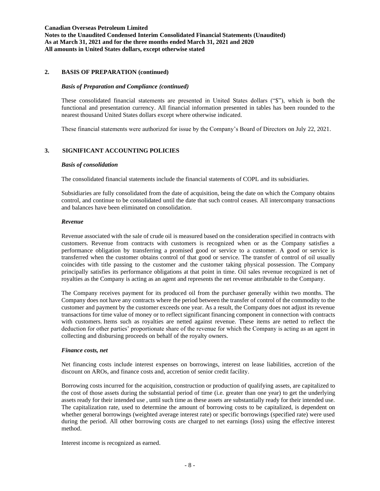## **2. BASIS OF PREPARATION (continued)**

#### *Basis of Preparation and Compliance (continued)*

These consolidated financial statements are presented in United States dollars ("\$"), which is both the functional and presentation currency. All financial information presented in tables has been rounded to the nearest thousand United States dollars except where otherwise indicated.

These financial statements were authorized for issue by the Company's Board of Directors on July 22, 2021.

## **3. SIGNIFICANT ACCOUNTING POLICIES**

#### *Basis of consolidation*

The consolidated financial statements include the financial statements of COPL and its subsidiaries.

Subsidiaries are fully consolidated from the date of acquisition, being the date on which the Company obtains control, and continue to be consolidated until the date that such control ceases. All intercompany transactions and balances have been eliminated on consolidation.

#### *Revenue*

Revenue associated with the sale of crude oil is measured based on the consideration specified in contracts with customers. Revenue from contracts with customers is recognized when or as the Company satisfies a performance obligation by transferring a promised good or service to a customer. A good or service is transferred when the customer obtains control of that good or service. The transfer of control of oil usually coincides with title passing to the customer and the customer taking physical possession. The Company principally satisfies its performance obligations at that point in time. Oil sales revenue recognized is net of royalties as the Company is acting as an agent and represents the net revenue attributable to the Company.

The Company receives payment for its produced oil from the purchaser generally within two months. The Company does not have any contracts where the period between the transfer of control of the commodity to the customer and payment by the customer exceeds one year. As a result, the Company does not adjust its revenue transactions for time value of money or to reflect significant financing component in connection with contracts with customers. Items such as royalties are netted against revenue. These items are netted to reflect the deduction for other parties' proportionate share of the revenue for which the Company is acting as an agent in collecting and disbursing proceeds on behalf of the royalty owners.

#### *Finance costs, net*

Net financing costs include interest expenses on borrowings, interest on lease liabilities, accretion of the discount on AROs, and finance costs and, accretion of senior credit facility.

Borrowing costs incurred for the acquisition, construction or production of qualifying assets, are capitalized to the cost of those assets during the substantial period of time (i.e. greater than one year) to get the underlying assets ready for their intended use , until such time as these assets are substantially ready for their intended use. The capitalization rate, used to determine the amount of borrowing costs to be capitalized, is dependent on whether general borrowings (weighted average interest rate) or specific borrowings (specified rate) were used during the period. All other borrowing costs are charged to net earnings (loss) using the effective interest method.

Interest income is recognized as earned.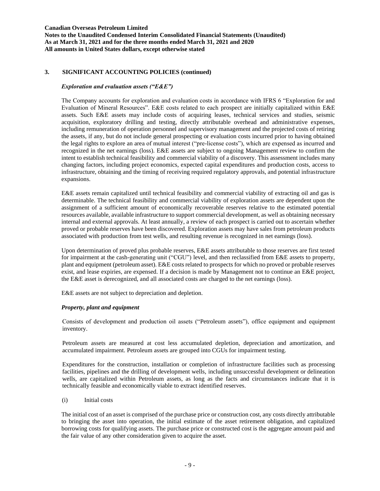**Notes to the Unaudited Condensed Interim Consolidated Financial Statements (Unaudited) As at March 31, 2021 and for the three months ended March 31, 2021 and 2020 All amounts in United States dollars, except otherwise stated**

# **3. SIGNIFICANT ACCOUNTING POLICIES (continued)**

## *Exploration and evaluation assets ("E&E")*

The Company accounts for exploration and evaluation costs in accordance with IFRS 6 "Exploration for and Evaluation of Mineral Resources". E&E costs related to each prospect are initially capitalized within E&E assets. Such E&E assets may include costs of acquiring leases, technical services and studies, seismic acquisition, exploratory drilling and testing, directly attributable overhead and administrative expenses, including remuneration of operation personnel and supervisory management and the projected costs of retiring the assets, if any, but do not include general prospecting or evaluation costs incurred prior to having obtained the legal rights to explore an area of mutual interest ("pre-license costs"), which are expensed as incurred and recognized in the net earnings (loss). E&E assets are subject to ongoing Management review to confirm the intent to establish technical feasibility and commercial viability of a discovery. This assessment includes many changing factors, including project economics, expected capital expenditures and production costs, access to infrastructure, obtaining and the timing of receiving required regulatory approvals, and potential infrastructure expansions.

E&E assets remain capitalized until technical feasibility and commercial viability of extracting oil and gas is determinable. The technical feasibility and commercial viability of exploration assets are dependent upon the assignment of a sufficient amount of economically recoverable reserves relative to the estimated potential resources available, available infrastructure to support commercial development, as well as obtaining necessary internal and external approvals. At least annually, a review of each prospect is carried out to ascertain whether proved or probable reserves have been discovered. Exploration assets may have sales from petroleum products associated with production from test wells, and resulting revenue is recognized in net earnings (loss).

Upon determination of proved plus probable reserves, E&E assets attributable to those reserves are first tested for impairment at the cash-generating unit ("CGU") level, and then reclassified from E&E assets to property, plant and equipment (petroleum asset). E&E costs related to prospects for which no proved or probable reserves exist, and lease expiries, are expensed. If a decision is made by Management not to continue an E&E project, the E&E asset is derecognized, and all associated costs are charged to the net earnings (loss).

E&E assets are not subject to depreciation and depletion.

# *Property, plant and equipment*

Consists of development and production oil assets ("Petroleum assets"), office equipment and equipment inventory.

Petroleum assets are measured at cost less accumulated depletion, depreciation and amortization, and accumulated impairment. Petroleum assets are grouped into CGUs for impairment testing.

Expenditures for the construction, installation or completion of infrastructure facilities such as processing facilities, pipelines and the drilling of development wells, including unsuccessful development or delineation wells, are capitalized within Petroleum assets, as long as the facts and circumstances indicate that it is technically feasible and economically viable to extract identified reserves.

(i) Initial costs

The initial cost of an asset is comprised of the purchase price or construction cost, any costs directly attributable to bringing the asset into operation, the initial estimate of the asset retirement obligation, and capitalized borrowing costs for qualifying assets. The purchase price or constructed cost is the aggregate amount paid and the fair value of any other consideration given to acquire the asset.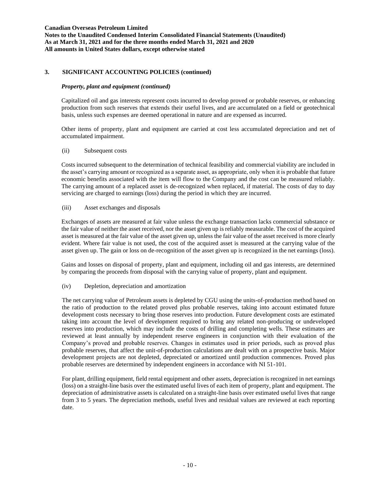# **3. SIGNIFICANT ACCOUNTING POLICIES (continued)**

## *Property, plant and equipment (continued)*

Capitalized oil and gas interests represent costs incurred to develop proved or probable reserves, or enhancing production from such reserves that extends their useful lives, and are accumulated on a field or geotechnical basis, unless such expenses are deemed operational in nature and are expensed as incurred.

Other items of property, plant and equipment are carried at cost less accumulated depreciation and net of accumulated impairment.

## (ii) Subsequent costs

Costs incurred subsequent to the determination of technical feasibility and commercial viability are included in the asset's carrying amount or recognized as a separate asset, as appropriate, only when it is probable that future economic benefits associated with the item will flow to the Company and the cost can be measured reliably. The carrying amount of a replaced asset is de-recognized when replaced, if material. The costs of day to day servicing are charged to earnings (loss) during the period in which they are incurred.

## (iii) Asset exchanges and disposals

Exchanges of assets are measured at fair value unless the exchange transaction lacks commercial substance or the fair value of neither the asset received, nor the asset given up is reliably measurable. The cost of the acquired asset is measured at the fair value of the asset given up, unless the fair value of the asset received is more clearly evident. Where fair value is not used, the cost of the acquired asset is measured at the carrying value of the asset given up. The gain or loss on de-recognition of the asset given up is recognized in the net earnings (loss).

Gains and losses on disposal of property, plant and equipment, including oil and gas interests, are determined by comparing the proceeds from disposal with the carrying value of property, plant and equipment.

# (iv) Depletion, depreciation and amortization

The net carrying value of Petroleum assets is depleted by CGU using the units-of-production method based on the ratio of production to the related proved plus probable reserves, taking into account estimated future development costs necessary to bring those reserves into production. Future development costs are estimated taking into account the level of development required to bring any related non-producing or undeveloped reserves into production, which may include the costs of drilling and completing wells. These estimates are reviewed at least annually by independent reserve engineers in conjunction with their evaluation of the Company's proved and probable reserves. Changes in estimates used in prior periods, such as proved plus probable reserves, that affect the unit-of-production calculations are dealt with on a prospective basis. Major development projects are not depleted, depreciated or amortized until production commences. Proved plus probable reserves are determined by independent engineers in accordance with NI 51-101.

For plant, drilling equipment, field rental equipment and other assets, depreciation is recognized in net earnings (loss) on a straight-line basis over the estimated useful lives of each item of property, plant and equipment. The depreciation of administrative assets is calculated on a straight-line basis over estimated useful lives that range from 3 to 5 years. The depreciation methods, useful lives and residual values are reviewed at each reporting date.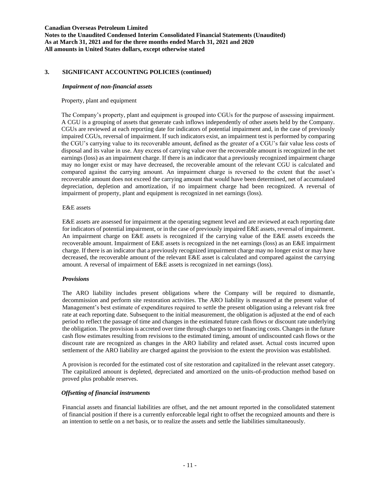# **3. SIGNIFICANT ACCOUNTING POLICIES (continued)**

### *Impairment of non-financial assets*

## Property, plant and equipment

The Company's property, plant and equipment is grouped into CGUs for the purpose of assessing impairment. A CGU is a grouping of assets that generate cash inflows independently of other assets held by the Company. CGUs are reviewed at each reporting date for indicators of potential impairment and, in the case of previously impaired CGUs, reversal of impairment. If such indicators exist, an impairment test is performed by comparing the CGU's carrying value to its recoverable amount, defined as the greater of a CGU's fair value less costs of disposal and its value in use. Any excess of carrying value over the recoverable amount is recognized in the net earnings (loss) as an impairment charge. If there is an indicator that a previously recognized impairment charge may no longer exist or may have decreased, the recoverable amount of the relevant CGU is calculated and compared against the carrying amount. An impairment charge is reversed to the extent that the asset's recoverable amount does not exceed the carrying amount that would have been determined, net of accumulated depreciation, depletion and amortization, if no impairment charge had been recognized. A reversal of impairment of property, plant and equipment is recognized in net earnings (loss).

## E&E assets

E&E assets are assessed for impairment at the operating segment level and are reviewed at each reporting date for indicators of potential impairment, or in the case of previously impaired E&E assets, reversal of impairment. An impairment charge on E&E assets is recognized if the carrying value of the E&E assets exceeds the recoverable amount. Impairment of E&E assets is recognized in the net earnings (loss) as an E&E impairment charge. If there is an indicator that a previously recognized impairment charge may no longer exist or may have decreased, the recoverable amount of the relevant E&E asset is calculated and compared against the carrying amount. A reversal of impairment of E&E assets is recognized in net earnings (loss).

# *Provisions*

The ARO liability includes present obligations where the Company will be required to dismantle, decommission and perform site restoration activities. The ARO liability is measured at the present value of Management's best estimate of expenditures required to settle the present obligation using a relevant risk free rate at each reporting date. Subsequent to the initial measurement, the obligation is adjusted at the end of each period to reflect the passage of time and changes in the estimated future cash flows or discount rate underlying the obligation. The provision is accreted over time through charges to net financing costs. Changes in the future cash flow estimates resulting from revisions to the estimated timing, amount of undiscounted cash flows or the discount rate are recognized as changes in the ARO liability and related asset. Actual costs incurred upon settlement of the ARO liability are charged against the provision to the extent the provision was established.

A provision is recorded for the estimated cost of site restoration and capitalized in the relevant asset category. The capitalized amount is depleted, depreciated and amortized on the units-of-production method based on proved plus probable reserves.

# *Offsetting of financial instruments*

Financial assets and financial liabilities are offset, and the net amount reported in the consolidated statement of financial position if there is a currently enforceable legal right to offset the recognized amounts and there is an intention to settle on a net basis, or to realize the assets and settle the liabilities simultaneously.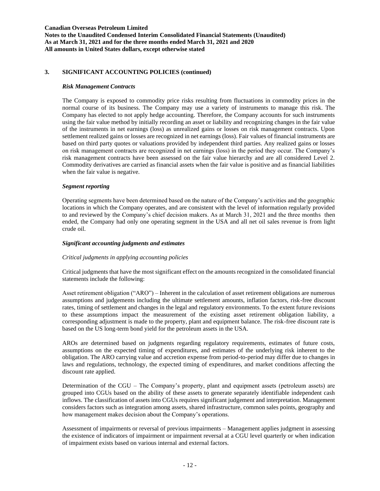# **3. SIGNIFICANT ACCOUNTING POLICIES (continued)**

#### *Risk Management Contracts*

The Company is exposed to commodity price risks resulting from fluctuations in commodity prices in the normal course of its business. The Company may use a variety of instruments to manage this risk. The Company has elected to not apply hedge accounting. Therefore, the Company accounts for such instruments using the fair value method by initially recording an asset or liability and recognizing changes in the fair value of the instruments in net earnings (loss) as unrealized gains or losses on risk management contracts. Upon settlement realized gains or losses are recognized in net earnings (loss). Fair values of financial instruments are based on third party quotes or valuations provided by independent third parties. Any realized gains or losses on risk management contracts are recognized in net earnings (loss) in the period they occur. The Company's risk management contracts have been assessed on the fair value hierarchy and are all considered Level 2. Commodity derivatives are carried as financial assets when the fair value is positive and as financial liabilities when the fair value is negative.

### *Segment reporting*

Operating segments have been determined based on the nature of the Company's activities and the geographic locations in which the Company operates, and are consistent with the level of information regularly provided to and reviewed by the Company's chief decision makers. As at March 31, 2021 and the three months then ended, the Company had only one operating segment in the USA and all net oil sales revenue is from light crude oil.

### *Significant accounting judgments and estimates*

### *Critical judgments in applying accounting policies*

Critical judgments that have the most significant effect on the amounts recognized in the consolidated financial statements include the following:

Asset retirement obligation ("ARO") – Inherent in the calculation of asset retirement obligations are numerous assumptions and judgements including the ultimate settlement amounts, inflation factors, risk-free discount rates, timing of settlement and changes in the legal and regulatory environments. To the extent future revisions to these assumptions impact the measurement of the existing asset retirement obligation liability, a corresponding adjustment is made to the property, plant and equipment balance. The risk-free discount rate is based on the US long-term bond yield for the petroleum assets in the USA.

AROs are determined based on judgments regarding regulatory requirements, estimates of future costs, assumptions on the expected timing of expenditures, and estimates of the underlying risk inherent to the obligation. The ARO carrying value and accretion expense from period-to-period may differ due to changes in laws and regulations, technology, the expected timing of expenditures, and market conditions affecting the discount rate applied.

Determination of the CGU – The Company's property, plant and equipment assets (petroleum assets) are grouped into CGUs based on the ability of these assets to generate separately identifiable independent cash inflows. The classification of assets into CGUs requires significant judgement and interpretation. Management considers factors such as integration among assets, shared infrastructure, common sales points, geography and how management makes decision about the Company's operations.

Assessment of impairments or reversal of previous impairments – Management applies judgment in assessing the existence of indicators of impairment or impairment reversal at a CGU level quarterly or when indication of impairment exists based on various internal and external factors.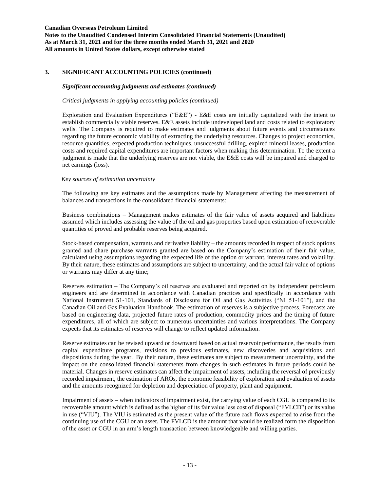# **3. SIGNIFICANT ACCOUNTING POLICIES (continued)**

# *Significant accounting judgments and estimates (continued)*

## *Critical judgments in applying accounting policies (continued)*

Exploration and Evaluation Expenditures ("E&E") - E&E costs are initially capitalized with the intent to establish commercially viable reserves. E&E assets include undeveloped land and costs related to exploratory wells. The Company is required to make estimates and judgments about future events and circumstances regarding the future economic viability of extracting the underlying resources. Changes to project economics, resource quantities, expected production techniques, unsuccessful drilling, expired mineral leases, production costs and required capital expenditures are important factors when making this determination. To the extent a judgment is made that the underlying reserves are not viable, the E&E costs will be impaired and charged to net earnings (loss).

## *Key sources of estimation uncertainty*

The following are key estimates and the assumptions made by Management affecting the measurement of balances and transactions in the consolidated financial statements:

Business combinations – Management makes estimates of the fair value of assets acquired and liabilities assumed which includes assessing the value of the oil and gas properties based upon estimation of recoverable quantities of proved and probable reserves being acquired.

Stock-based compensation, warrants and derivative liability – the amounts recorded in respect of stock options granted and share purchase warrants granted are based on the Company's estimation of their fair value, calculated using assumptions regarding the expected life of the option or warrant, interest rates and volatility. By their nature, these estimates and assumptions are subject to uncertainty, and the actual fair value of options or warrants may differ at any time;

Reserves estimation – The Company's oil reserves are evaluated and reported on by independent petroleum engineers and are determined in accordance with Canadian practices and specifically in accordance with National Instrument 51-101, Standards of Disclosure for Oil and Gas Activities ("NI 51-101"), and the Canadian Oil and Gas Evaluation Handbook. The estimation of reserves is a subjective process. Forecasts are based on engineering data, projected future rates of production, commodity prices and the timing of future expenditures, all of which are subject to numerous uncertainties and various interpretations. The Company expects that its estimates of reserves will change to reflect updated information.

Reserve estimates can be revised upward or downward based on actual reservoir performance, the results from capital expenditure programs, revisions to previous estimates, new discoveries and acquisitions and dispositions during the year. By their nature, these estimates are subject to measurement uncertainty, and the impact on the consolidated financial statements from changes in such estimates in future periods could be material. Changes in reserve estimates can affect the impairment of assets, including the reversal of previously recorded impairment, the estimation of AROs, the economic feasibility of exploration and evaluation of assets and the amounts recognized for depletion and depreciation of property, plant and equipment.

Impairment of assets – when indicators of impairment exist, the carrying value of each CGU is compared to its recoverable amount which is defined as the higher of its fair value less cost of disposal ("FVLCD") or its value in use ("VIU"). The VIU is estimated as the present value of the future cash flows expected to arise from the continuing use of the CGU or an asset. The FVLCD is the amount that would be realized form the disposition of the asset or CGU in an arm's length transaction between knowledgeable and willing parties.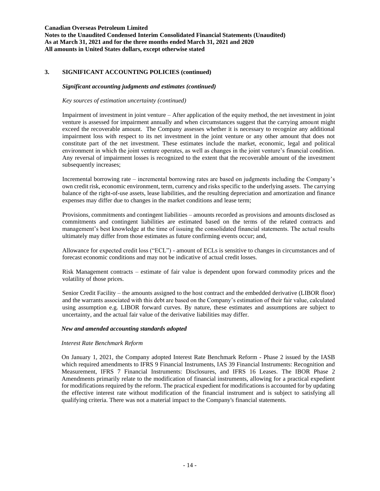**Notes to the Unaudited Condensed Interim Consolidated Financial Statements (Unaudited) As at March 31, 2021 and for the three months ended March 31, 2021 and 2020 All amounts in United States dollars, except otherwise stated**

# **3. SIGNIFICANT ACCOUNTING POLICIES (continued)**

## *Significant accounting judgments and estimates (continued)*

*Key sources of estimation uncertainty (continued)*

Impairment of investment in joint venture – After application of the equity method, the net investment in joint venture is assessed for impairment annually and when circumstances suggest that the carrying amount might exceed the recoverable amount. The Company assesses whether it is necessary to recognize any additional impairment loss with respect to its net investment in the joint venture or any other amount that does not constitute part of the net investment. These estimates include the market, economic, legal and political environment in which the joint venture operates, as well as changes in the joint venture's financial condition. Any reversal of impairment losses is recognized to the extent that the recoverable amount of the investment subsequently increases;

Incremental borrowing rate – incremental borrowing rates are based on judgments including the Company's own credit risk, economic environment, term, currency and risks specific to the underlying assets. The carrying balance of the right-of-use assets, lease liabilities, and the resulting depreciation and amortization and finance expenses may differ due to changes in the market conditions and lease term;

Provisions, commitments and contingent liabilities – amounts recorded as provisions and amounts disclosed as commitments and contingent liabilities are estimated based on the terms of the related contracts and management's best knowledge at the time of issuing the consolidated financial statements. The actual results ultimately may differ from those estimates as future confirming events occur; and,

Allowance for expected credit loss ("ECL") - amount of ECLs is sensitive to changes in circumstances and of forecast economic conditions and may not be indicative of actual credit losses.

Risk Management contracts – estimate of fair value is dependent upon forward commodity prices and the volatility of those prices.

Senior Credit Facility – the amounts assigned to the host contract and the embedded derivative (LIBOR floor) and the warrants associated with this debt are based on the Company's estimation of their fair value, calculated using assumption e.g. LIBOR forward curves. By nature, these estimates and assumptions are subject to uncertainty, and the actual fair value of the derivative liabilities may differ.

### *New and amended accounting standards adopted*

### *Interest Rate Benchmark Reform*

On January 1, 2021, the Company adopted Interest Rate Benchmark Reform - Phase 2 issued by the IASB which required amendments to IFRS 9 Financial Instruments, IAS 39 Financial Instruments: Recognition and Measurement, IFRS 7 Financial Instruments: Disclosures, and IFRS 16 Leases. The IBOR Phase 2 Amendments primarily relate to the modification of financial instruments, allowing for a practical expedient for modifications required by the reform. The practical expedient for modifications is accounted for by updating the effective interest rate without modification of the financial instrument and is subject to satisfying all qualifying criteria. There was not a material impact to the Company's financial statements.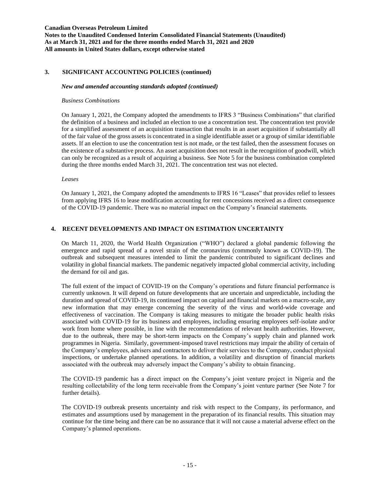**Notes to the Unaudited Condensed Interim Consolidated Financial Statements (Unaudited) As at March 31, 2021 and for the three months ended March 31, 2021 and 2020 All amounts in United States dollars, except otherwise stated**

# **3. SIGNIFICANT ACCOUNTING POLICIES (continued)**

#### *New and amended accounting standards adopted (continued)*

### *Business Combinations*

On January 1, 2021, the Company adopted the amendments to IFRS 3 "Business Combinations" that clarified the definition of a business and included an election to use a concentration test. The concentration test provide for a simplified assessment of an acquisition transaction that results in an asset acquisition if substantially all of the fair value of the gross assets is concentrated in a single identifiable asset or a group of similar identifiable assets. If an election to use the concentration test is not made, or the test failed, then the assessment focuses on the existence of a substantive process. An asset acquisition does not result in the recognition of goodwill, which can only be recognized as a result of acquiring a business. See Note 5 for the business combination completed during the three months ended March 31, 2021. The concentration test was not elected.

## *Leases*

On January 1, 2021, the Company adopted the amendments to IFRS 16 "Leases" that provides relief to lessees from applying IFRS 16 to lease modification accounting for rent concessions received as a direct consequence of the COVID-19 pandemic. There was no material impact on the Company's financial statements.

### **4. RECENT DEVELOPMENTS AND IMPACT ON ESTIMATION UNCERTAINTY**

On March 11, 2020, the World Health Organization ("WHO") declared a global pandemic following the emergence and rapid spread of a novel strain of the coronavirus (commonly known as COVID-19). The outbreak and subsequent measures intended to limit the pandemic contributed to significant declines and volatility in global financial markets. The pandemic negatively impacted global commercial activity, including the demand for oil and gas.

The full extent of the impact of COVID-19 on the Company's operations and future financial performance is currently unknown. It will depend on future developments that are uncertain and unpredictable, including the duration and spread of COVID-19, its continued impact on capital and financial markets on a macro-scale, any new information that may emerge concerning the severity of the virus and world-wide coverage and effectiveness of vaccination. The Company is taking measures to mitigate the broader public health risks associated with COVID-19 for its business and employees, including ensuring employees self-isolate and/or work from home where possible, in line with the recommendations of relevant health authorities. However, due to the outbreak, there may be short-term impacts on the Company's supply chain and planned work programmes in Nigeria. Similarly, government-imposed travel restrictions may impair the ability of certain of the Company's employees, advisers and contractors to deliver their services to the Company, conduct physical inspections, or undertake planned operations. In addition, a volatility and disruption of financial markets associated with the outbreak may adversely impact the Company's ability to obtain financing.

The COVID-19 pandemic has a direct impact on the Company's joint venture project in Nigeria and the resulting collectability of the long term receivable from the Company's joint venture partner (See Note 7 for further details).

The COVID-19 outbreak presents uncertainty and risk with respect to the Company, its performance, and estimates and assumptions used by management in the preparation of its financial results. This situation may continue for the time being and there can be no assurance that it will not cause a material adverse effect on the Company's planned operations.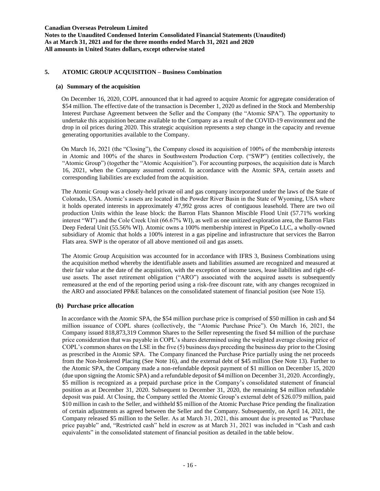# **5. ATOMIC GROUP ACQUISITION – Business Combination**

### **(a) Summary of the acquisition**

On December 16, 2020, COPL announced that it had agreed to acquire Atomic for aggregate consideration of \$54 million. The effective date of the transaction is December 1, 2020 as defined in the Stock and Membership Interest Purchase Agreement between the Seller and the Company (the "Atomic SPA"). The opportunity to undertake this acquisition became available to the Company as a result of the COVID-19 environment and the drop in oil prices during 2020. This strategic acquisition represents a step change in the capacity and revenue generating opportunities available to the Company.

On March 16, 2021 (the "Closing"), the Company closed its acquisition of 100% of the membership interests in Atomic and 100% of the shares in Southwestern Production Corp. ("SWP") (entities collectively, the "Atomic Group") (together the "Atomic Acquisition"). For accounting purposes, the acquisition date is March 16, 2021, when the Company assumed control. In accordance with the Atomic SPA, certain assets and corresponding liabilities are excluded from the acquisition.

The Atomic Group was a closely-held private oil and gas company incorporated under the laws of the State of Colorado, USA. Atomic's assets are located in the Powder River Basin in the State of Wyoming, USA where it holds operated interests in approximately 47,992 gross acres of contiguous leasehold. There are two oil production Units within the lease block: the Barron Flats Shannon Miscible Flood Unit (57.71% working interest "WI") and the Cole Creek Unit (66.67% WI), as well as one unitized exploration area, the Barron Flats Deep Federal Unit (55.56% WI). Atomic owns a 100% membership interest in PipeCo LLC, a wholly-owned subsidiary of Atomic that holds a 100% interest in a gas pipeline and infrastructure that services the Barron Flats area. SWP is the operator of all above mentioned oil and gas assets.

The Atomic Group Acquisition was accounted for in accordance with IFRS 3, Business Combinations using the acquisition method whereby the identifiable assets and liabilities assumed are recognized and measured at their fair value at the date of the acquisition, with the exception of income taxes, lease liabilities and right-ofuse assets. The asset retirement obligation ("ARO") associated with the acquired assets is subsequently remeasured at the end of the reporting period using a risk-free discount rate, with any changes recognized in the ARO and associated PP&E balances on the consolidated statement of financial position (see Note 15).

### **(b) Purchase price allocation**

In accordance with the Atomic SPA, the \$54 million purchase price is comprised of \$50 million in cash and \$4 million issuance of COPL shares (collectively, the "Atomic Purchase Price"). On March 16, 2021, the Company issued 818,873,319 Common Shares to the Seller representing the fixed \$4 million of the purchase price consideration that was payable in COPL's shares determined using the weighted average closing price of COPL's common shares on the LSE in the five (5) business days preceding the business day prior to the Closing as prescribed in the Atomic SPA. The Company financed the Purchase Price partially using the net proceeds from the Non-brokered Placing (See Note 16), and the external debt of \$45 million (See Note 13). Further to the Atomic SPA, the Company made a non-refundable deposit payment of \$1 million on December 15, 2020 (due upon signing the Atomic SPA) and a refundable deposit of \$4 million on December 31, 2020. Accordingly, \$5 million is recognized as a prepaid purchase price in the Company's consolidated statement of financial position as at December 31, 2020. Subsequent to December 31, 2020, the remaining \$4 million refundable deposit was paid. At Closing, the Company settled the Atomic Group's external debt of \$26.079 million, paid \$10 million in cash to the Seller, and withheld \$5 million of the Atomic Purchase Price pending the finalization of certain adjustments as agreed between the Seller and the Company. Subsequently, on April 14, 2021, the Company released \$5 million to the Seller. As at March 31, 2021, this amount due is presented as "Purchase price payable" and, "Restricted cash" held in escrow as at March 31, 2021 was included in "Cash and cash equivalents" in the consolidated statement of financial position as detailed in the table below.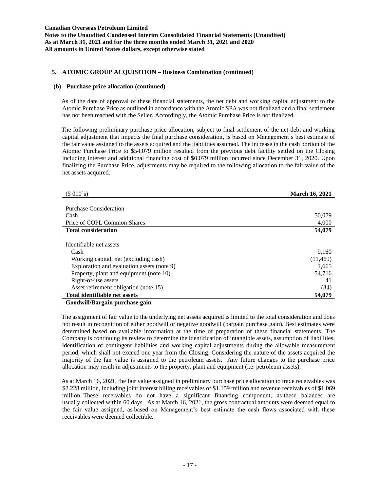# **5. ATOMIC GROUP ACQUISITION – Business Combination (continued)**

#### **(b) Purchase price allocation (continued)**

As of the date of approval of these financial statements, the net debt and working capital adjustment to the Atomic Purchase Price as outlined in accordance with the Atomic SPA was not finalized and a final settlement has not been reached with the Seller. Accordingly, the Atomic Purchase Price is not finalized.

The following preliminary purchase price allocation, subject to final settlement of the net debt and working capital adjustment that impacts the final purchase consideration, is based on Management's best estimate of the fair value assigned to the assets acquired and the liabilities assumed. The increase in the cash portion of the Atomic Purchase Price to \$54.079 million resulted from the previous debt facility settled on the Closing including interest and additional financing cost of \$0.079 million incurred since December 31, 2020. Upon finalizing the Purchase Price, adjustments may be required to the following allocation to the fair value of the net assets acquired.

| (\$000's)                                  | <b>March 16, 2021</b> |
|--------------------------------------------|-----------------------|
|                                            |                       |
| Purchase Consideration                     |                       |
| Cash                                       | 50,079                |
| Price of COPL Common Shares                | 4,000                 |
| <b>Total consideration</b>                 | 54,079                |
|                                            |                       |
| Identifiable net assets                    |                       |
| Cash                                       | 9,160                 |
| Working capital, net (excluding cash)      | (11, 469)             |
| Exploration and evaluation assets (note 9) | 1,665                 |
| Property, plant and equipment (note 10)    | 54,716                |
| Right-of-use assets                        | 41                    |
| Asset retirement obligation (note 15)      | (34)                  |
| Total identifiable net assets              | 54,079                |
| Goodwill/Bargain purchase gain             |                       |

The assignment of fair value to the underlying net assets acquired is limited to the total consideration and does not result in recognition of either goodwill or negative goodwill (bargain purchase gain). Best estimates were determined based on available information at the time of preparation of these financial statements. The Company is continuing its review to determine the identification of intangible assets, assumption of liabilities, identification of contingent liabilities and working capital adjustments during the allowable measurement period, which shall not exceed one year from the Closing. Considering the nature of the assets acquired the majority of the fair value is assigned to the petroleum assets. Any future changes to the purchase price allocation may result in adjustments to the property, plant and equipment (i.e. petroleum assets).

As at March 16, 2021, the fair value assigned in preliminary purchase price allocation to trade receivables was \$2.228 million, including joint interest billing receivables of \$1.159 million and revenue receivables of \$1.069 million. These receivables do not have a significant financing component, as these balances are usually collected within 60 days. As at March 16, 2021, the gross contractual amounts were deemed equal to the fair value assigned, as based on Management's best estimate the cash flows associated with these receivables were deemed collectible.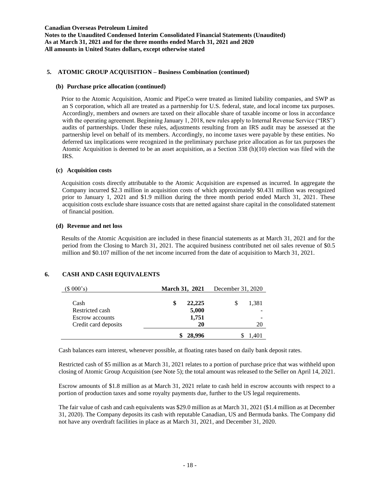## **5. ATOMIC GROUP ACQUISITION – Business Combination (continued)**

#### **(b) Purchase price allocation (continued)**

Prior to the Atomic Acquisition, Atomic and PipeCo were treated as limited liability companies, and SWP as an S corporation, which all are treated as a partnership for U.S. federal, state, and local income tax purposes. Accordingly, members and owners are taxed on their allocable share of taxable income or loss in accordance with the operating agreement. Beginning January 1, 2018, new rules apply to Internal Revenue Service ("IRS") audits of partnerships. Under these rules, adjustments resulting from an IRS audit may be assessed at the partnership level on behalf of its members. Accordingly, no income taxes were payable by these entities. No deferred tax implications were recognized in the preliminary purchase price allocation as for tax purposes the Atomic Acquisition is deemed to be an asset acquisition, as a Section 338 (h)(10) election was filed with the IRS.

#### **(c) Acquisition costs**

Acquisition costs directly attributable to the Atomic Acquisition are expensed as incurred. In aggregate the Company incurred \$2.3 million in acquisition costs of which approximately \$0.431 million was recognized prior to January 1, 2021 and \$1.9 million during the three month period ended March 31, 2021. These acquisition costs exclude share issuance costs that are netted against share capital in the consolidated statement of financial position.

#### **(d) Revenue and net loss**

Results of the Atomic Acquisition are included in these financial statements as at March 31, 2021 and for the period from the Closing to March 31, 2021. The acquired business contributed net oil sales revenue of \$0.5 million and \$0.107 million of the net income incurred from the date of acquisition to March 31, 2021.

# **6. CASH AND CASH EQUIVALENTS**

| (\$000's)              | <b>March 31, 2021</b> | December 31, 2020 |
|------------------------|-----------------------|-------------------|
| Cash                   | 22,225                | 1,381<br>S        |
| Restricted cash        | 5,000                 |                   |
| <b>Escrow</b> accounts | 1,751                 |                   |
| Credit card deposits   | 20                    | 20                |
|                        | 28,996                | 1.401             |

Cash balances earn interest, whenever possible, at floating rates based on daily bank deposit rates.

Restricted cash of \$5 million as at March 31, 2021 relates to a portion of purchase price that was withheld upon closing of Atomic Group Acquisition (see Note 5); the total amount was released to the Seller on April 14, 2021.

Escrow amounts of \$1.8 million as at March 31, 2021 relate to cash held in escrow accounts with respect to a portion of production taxes and some royalty payments due, further to the US legal requirements.

The fair value of cash and cash equivalents was \$29.0 million as at March 31, 2021 (\$1.4 million as at December 31, 2020). The Company deposits its cash with reputable Canadian, US and Bermuda banks. The Company did not have any overdraft facilities in place as at March 31, 2021, and December 31, 2020.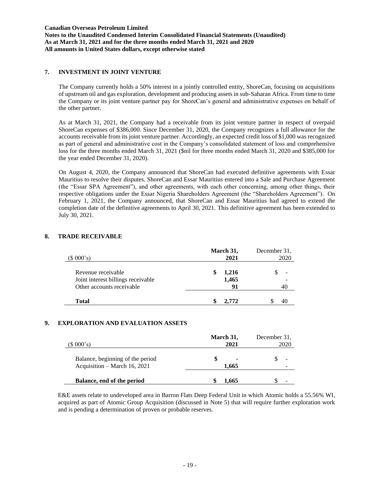# **7. INVESTMENT IN JOINT VENTURE**

The Company currently holds a 50% interest in a jointly controlled entity, ShoreCan, focusing on acquisitions of upstream oil and gas exploration, development and producing assets in sub-Saharan Africa. From time to time the Company or its joint venture partner pay for ShoreCan's general and administrative expenses on behalf of the other partner.

As at March 31, 2021, the Company had a receivable from its joint venture partner in respect of overpaid ShoreCan expenses of \$386,000. Since December 31, 2020, the Company recognizes a full allowance for the accounts receivable from its joint venture partner. Accordingly, an expected credit loss of \$1,000 was recognized as part of general and administrative cost in the Company's consolidated statement of loss and comprehensive loss for the three months ended March 31, 2021 (\$nil for three months ended March 31, 2020 and \$385,000 for the year ended December 31, 2020).

On August 4, 2020, the Company announced that ShoreCan had executed definitive agreements with Essar Mauritius to resolve their disputes. ShoreCan and Essar Mauritius entered into a Sale and Purchase Agreement (the "Essar SPA Agreement"), and other agreements, with each other concerning, among other things, their respective obligations under the Essar Nigeria Shareholders Agreement (the "Shareholders Agreement"). On February 1, 2021, the Company announced, that ShoreCan and Essar Mauritius had agreed to extend the completion date of the definitive agreements to April 30, 2021. This definitive agreement has been extended to July 30, 2021.

| (\$000's)                          | March 31,<br>2021 | December 31,<br>2020 |
|------------------------------------|-------------------|----------------------|
| Revenue receivable                 | 1,216             |                      |
| Joint interest billings receivable | 1,465             |                      |
| Other accounts receivable          | 91                |                      |
| <b>Total</b>                       | 2.772             |                      |

# **8. TRADE RECEIVABLE**

## **9. EXPLORATION AND EVALUATION ASSETS**

| $(S\ 000's)$                                                     | March 31,<br>2021       | December 31,<br>2020 |
|------------------------------------------------------------------|-------------------------|----------------------|
| Balance, beginning of the period<br>Acquisition – March 16, 2021 | $\blacksquare$<br>1.665 |                      |
| Balance, end of the period                                       | 1.665                   |                      |

E&E assets relate to undeveloped area in Barron Flats Deep Federal Unit in which Atomic holds a 55.56% WI, acquired as part of Atomic Group Acquisition (discussed in Note 5) that will require further exploration work and is pending a determination of proven or probable reserves.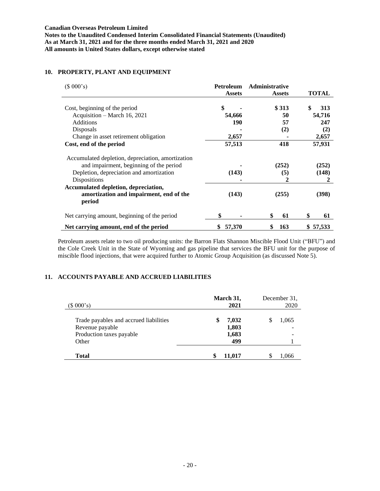| (\$000's)                                         | Petroleum     | Administrative |              |
|---------------------------------------------------|---------------|----------------|--------------|
|                                                   | <b>Assets</b> | <b>Assets</b>  | <b>TOTAL</b> |
| Cost, beginning of the period                     | \$            | \$313          | \$<br>313    |
| Acquisition – March 16, 2021                      | 54,666        | 50             | 54,716       |
| <b>Additions</b>                                  | 190           | 57             | 247          |
| Disposals                                         |               | (2)            | (2)          |
| Change in asset retirement obligation             | 2,657         |                | 2,657        |
| Cost, end of the period                           | 57,513        | 418            | 57,931       |
| Accumulated depletion, depreciation, amortization |               |                |              |
| and impairment, beginning of the period           |               | (252)          | (252)        |
| Depletion, depreciation and amortization          | (143)         | (5)            | (148)        |
| Dispositions                                      |               | 2              | 2            |
| Accumulated depletion, depreciation,              |               |                |              |
| amortization and impairment, end of the<br>period | (143)         | (255)          | (398)        |
| Net carrying amount, beginning of the period      |               | \$<br>61       | \$<br>61     |
| Net carrying amount, end of the period            | \$<br>57,370  | 163<br>\$      | 57,533       |

# **10. PROPERTY, PLANT AND EQUIPMENT**

Petroleum assets relate to two oil producing units: the Barron Flats Shannon Miscible Flood Unit ("BFU") and the Cole Creek Unit in the State of Wyoming and gas pipeline that services the BFU unit for the purpose of miscible flood injections, that were acquired further to Atomic Group Acquisition (as discussed Note 5).

# **11. ACCOUNTS PAYABLE AND ACCRUED LIABILITIES**

| (\$000's)                              | March 31,<br>2021 | December 31,<br>2020 |
|----------------------------------------|-------------------|----------------------|
| Trade payables and accrued liabilities | 7,032<br>\$       | 1,065                |
| Revenue payable                        | 1,803             |                      |
| Production taxes payable               | 1,683             |                      |
| Other                                  | 499               |                      |
| <b>Total</b>                           | 11,017            | 1,066                |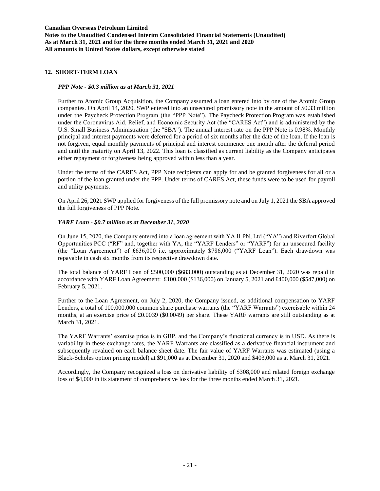## **12. SHORT-TERM LOAN**

## *PPP Note - \$0.3 million as at March 31, 2021*

Further to Atomic Group Acquisition, the Company assumed a loan entered into by one of the Atomic Group companies. On April 14, 2020, SWP entered into an unsecured promissory note in the amount of \$0.33 million under the Paycheck Protection Program (the "PPP Note"). The Paycheck Protection Program was established under the Coronavirus Aid, Relief, and Economic Security Act (the "CARES Act") and is administered by the U.S. Small Business Administration (the "SBA"). The annual interest rate on the PPP Note is 0.98%. Monthly principal and interest payments were deferred for a period of six months after the date of the loan. If the loan is not forgiven, equal monthly payments of principal and interest commence one month after the deferral period and until the maturity on April 13, 2022. This loan is classified as current liability as the Company anticipates either repayment or forgiveness being approved within less than a year.

Under the terms of the CARES Act, PPP Note recipients can apply for and be granted forgiveness for all or a portion of the loan granted under the PPP. Under terms of CARES Act, these funds were to be used for payroll and utility payments.

On April 26, 2021 SWP applied for forgiveness of the full promissory note and on July 1, 2021 the SBA approved the full forgiveness of PPP Note.

## *YARF Loan - \$0.7 million as at December 31, 2020*

On June 15, 2020, the Company entered into a loan agreement with YA II PN, Ltd ("YA") and Riverfort Global Opportunities PCC ("RF" and, together with YA, the "YARF Lenders" or "YARF") for an unsecured facility (the "Loan Agreement") of £636,000 i.e. approximately \$786,000 ("YARF Loan"). Each drawdown was repayable in cash six months from its respective drawdown date.

The total balance of YARF Loan of £500,000 (\$683,000) outstanding as at December 31, 2020 was repaid in accordance with YARF Loan Agreement: £100,000 (\$136,000) on January 5, 2021 and £400,000 (\$547,000) on February 5, 2021.

Further to the Loan Agreement, on July 2, 2020, the Company issued, as additional compensation to YARF Lenders, a total of 100,000,000 common share purchase warrants (the "YARF Warrants") exercisable within 24 months, at an exercise price of £0.0039 (\$0.0049) per share. These YARF warrants are still outstanding as at March 31, 2021.

The YARF Warrants' exercise price is in GBP, and the Company's functional currency is in USD. As there is variability in these exchange rates, the YARF Warrants are classified as a derivative financial instrument and subsequently revalued on each balance sheet date. The fair value of YARF Warrants was estimated (using a Black-Scholes option pricing model) at \$91,000 as at December 31, 2020 and \$403,000 as at March 31, 2021.

Accordingly, the Company recognized a loss on derivative liability of \$308,000 and related foreign exchange loss of \$4,000 in its statement of comprehensive loss for the three months ended March 31, 2021.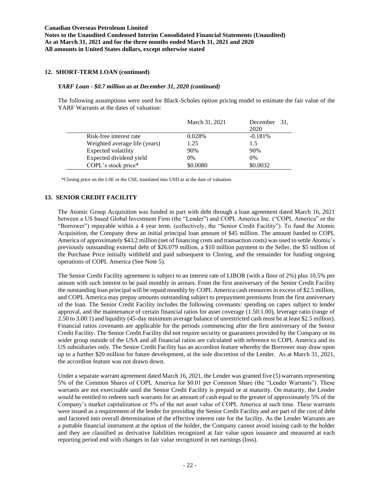# **12. SHORT-TERM LOAN (continued)**

## *YARF Loan - \$0.7 million as at December 31, 2020 (continued)*

The following assumptions were used for Black-Scholes option pricing model to estimate the fair value of the YARF Warrants at the dates of valuation:

|                               | March 31, 2021 | December 31,<br>2020 |
|-------------------------------|----------------|----------------------|
| Risk-free interest rate       | 0.028%         | $-0.181%$            |
| Weighted average life (years) | 1.25           | 1.5                  |
| Expected volatility           | 90%            | 90%                  |
| Expected dividend yield       | $0\%$          | $0\%$                |
| COPL's stock price*           | \$0.0080       | \$0.0032             |

\*Closing price on the LSE or the CSE, translated into USD as at the date of valuation.

# **13. SENIOR CREDIT FACILITY**

The Atomic Group Acquisition was funded in part with debt through a loan agreement dated March 16, 2021 between a US based Global Investment Firm (the "Lender") and COPL America Inc. ("COPL America" or the "Borrower") repayable within a 4 year term. (collectively, the "Senior Credit Facility"). To fund the Atomic Acquisition, the Company drew an initial principal loan amount of \$45 million. The amount funded to COPL America of approximately \$43.2 million (net of financing costs and transaction costs) was used to settle Atomic's previously outstanding external debt of \$26.079 million, a \$10 million payment to the Seller, the \$5 million of the Purchase Price initially withheld and paid subsequent to Closing, and the remainder for funding ongoing operations of COPL America (See Note 5).

The Senior Credit Facility agreement is subject to an interest rate of LIBOR (with a floor of 2%) plus 10.5% per annum with such interest to be paid monthly in arrears. From the first anniversary of the Senior Credit Facility the outstanding loan principal will be repaid monthly by COPL America cash resources in excess of \$2.5 million, and COPL America may prepay amounts outstanding subject to prepayment premiums from the first anniversary of the loan. The Senior Credit Facility includes the following covenants: spending on capex subject to lender approval, and the maintenance of certain financial ratios for asset coverage (1.50:1.00), leverage ratio (range of 2.50 to 3.00:1) and liquidity (45-day minimum average balance of unrestricted cash must be at least \$2.5 million). Financial ratios covenants are applicable for the periods commencing after the first anniversary of the Senior Credit Facility. The Senior Credit Facility did not require security or guarantees provided by the Company or its wider group outside of the USA and all financial ratios are calculated with reference to COPL America and its US subsidiaries only. The Senior Credit Facility has an accordion feature whereby the Borrower may draw upon up to a further \$20 million for future development, at the sole discretion of the Lender. As at March 31, 2021, the accordion feature was not drawn down.

Under a separate warrant agreement dated March 16, 2021, the Lender was granted five (5) warrants representing 5% of the Common Shares of COPL America for \$0.01 per Common Share (the "Lender Warrants"). These warrants are not exercisable until the Senior Credit Facility is prepaid or at maturity. On maturity, the Lender would be entitled to redeem such warrants for an amount of cash equal to the greater of approximately 5% of the Company's market capitalization or 5% of the net asset value of COPL America at such time. These warrants were issued as a requirement of the lender for providing the Senior Credit Facility and are part of the cost of debt and factored into overall determination of the effective interest rate for the facility. As the Lender Warrants are a puttable financial instrument at the option of the holder, the Company cannot avoid issuing cash to the holder and they are classified as derivative liabilities recognized at fair value upon issuance and measured at each reporting period end with changes in fair value recognized in net earnings (loss).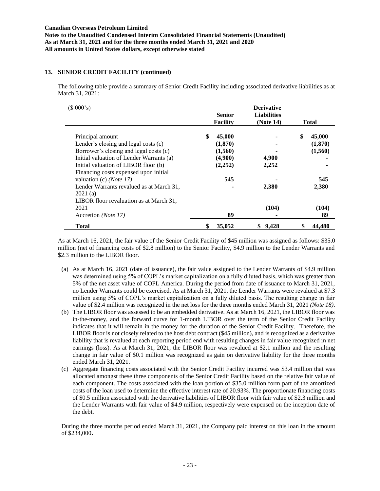## **13. SENIOR CREDIT FACILITY (continued)**

The following table provide a summary of Senior Credit Facility including associated derivative liabilities as at March 31, 2021:

| (\$000's)                                                                 | <b>Senior</b><br><b>Facility</b> | <b>Derivative</b><br><b>Liabilities</b><br>(Note 14) | Total        |
|---------------------------------------------------------------------------|----------------------------------|------------------------------------------------------|--------------|
| Principal amount                                                          | \$<br>45,000                     |                                                      | \$<br>45,000 |
| Lender's closing and legal costs (c)                                      | (1,870)                          |                                                      | (1,870)      |
| Borrower's closing and legal costs (c)                                    | (1,560)                          |                                                      | (1,560)      |
| Initial valuation of Lender Warrants (a)                                  | (4,900)                          | 4,900                                                |              |
| Initial valuation of LIBOR floor (b)                                      | (2,252)                          | 2,252                                                |              |
| Financing costs expensed upon initial<br>valuation (c) ( <i>Note 17</i> ) | 545                              |                                                      | 545          |
| Lender Warrants revalued as at March 31,<br>2021(a)                       |                                  | 2,380                                                | 2,380        |
| LIBOR floor revaluation as at March 31,                                   |                                  |                                                      |              |
| 2021                                                                      |                                  | (104)                                                | (104)        |
| Accretion (Note 17)                                                       | 89                               |                                                      | 89           |
| <b>Total</b>                                                              | \$<br>35,052                     | 9,428<br>\$                                          | 44.480       |

As at March 16, 2021, the fair value of the Senior Credit Facility of \$45 million was assigned as follows: \$35.0 million (net of financing costs of \$2.8 million) to the Senior Facility, \$4.9 million to the Lender Warrants and \$2.3 million to the LIBOR floor.

- (a) As at March 16, 2021 (date of issuance), the fair value assigned to the Lender Warrants of \$4.9 million was determined using 5% of COPL's market capitalization on a fully diluted basis, which was greater than 5% of the net asset value of COPL America. During the period from date of issuance to March 31, 2021, no Lender Warrants could be exercised. As at March 31, 2021, the Lender Warrants were revalued at \$7.3 million using 5% of COPL's market capitalization on a fully diluted basis. The resulting change in fair value of \$2.4 million was recognized in the net loss for the three months ended March 31, 2021 *(Note 18)*.
- (b) The LIBOR floor was assessed to be an embedded derivative. As at March 16, 2021, the LIBOR floor was in-the-money, and the forward curve for 1-month LIBOR over the term of the Senior Credit Facility indicates that it will remain in the money for the duration of the Senior Credit Facility. Therefore, the LIBOR floor is not closely related to the host debt contract (\$45 million), and is recognized as a derivative liability that is revalued at each reporting period end with resulting changes in fair value recognized in net earnings (loss). As at March 31, 2021, the LIBOR floor was revalued at \$2.1 million and the resulting change in fair value of \$0.1 million was recognized as gain on derivative liability for the three months ended March 31, 2021.
- (c) Aggregate financing costs associated with the Senior Credit Facility incurred was \$3.4 million that was allocated amongst these three components of the Senior Credit Facility based on the relative fair value of each component. The costs associated with the loan portion of \$35.0 million form part of the amortized costs of the loan used to determine the effective interest rate of 20.93%. The proportionate financing costs of \$0.5 million associated with the derivative liabilities of LIBOR floor with fair value of \$2.3 million and the Lender Warrants with fair value of \$4.9 million, respectively were expensed on the inception date of the debt.

During the three months period ended March 31, 2021, the Company paid interest on this loan in the amount of \$234,000**.**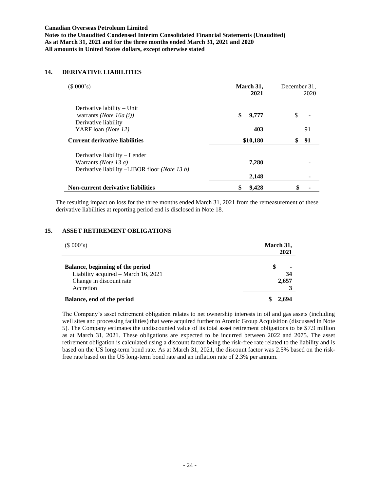# **14. DERIVATIVE LIABILITIES**

| (\$000's)                                                                                                                                    | March 31,<br>2021  | December 31,<br>2020 |
|----------------------------------------------------------------------------------------------------------------------------------------------|--------------------|----------------------|
| Derivative lability $-$ Unit<br>warrants ( <i>Note</i> 16 <i>a</i> ( <i>i</i> ))<br>Derivative liability $-$<br>YARF loan ( <i>Note 12</i> ) | \$<br>9,777<br>403 | \$<br>91             |
| <b>Current derivative liabilities</b>                                                                                                        | \$10,180           | 91                   |
| Derivative liability – Lender<br>Warrants ( <i>Note</i> 13 $a$ )<br>Derivative liability -LIBOR floor (Note 13 b)                            | 7,280<br>2,148     |                      |
| <b>Non-current derivative liabilities</b>                                                                                                    | 9.428              | \$                   |

The resulting impact on loss for the three months ended March 31, 2021 from the remeasurement of these derivative liabilities at reporting period end is disclosed in Note 18.

# **15. ASSET RETIREMENT OBLIGATIONS**

| (\$000's)                           | March 31,<br>2021 |
|-------------------------------------|-------------------|
| Balance, beginning of the period    | S                 |
| Liability acquired – March 16, 2021 | 34                |
| Change in discount rate             | 2,657             |
| Accretion                           |                   |
| Balance, end of the period          |                   |

The Company's asset retirement obligation relates to net ownership interests in oil and gas assets (including well sites and processing facilities) that were acquired further to Atomic Group Acquisition (discussed in Note 5). The Company estimates the undiscounted value of its total asset retirement obligations to be \$7.9 million as at March 31, 2021. These obligations are expected to be incurred between 2022 and 2075. The asset retirement obligation is calculated using a discount factor being the risk-free rate related to the liability and is based on the US long-term bond rate. As at March 31, 2021, the discount factor was 2.5% based on the riskfree rate based on the US long-term bond rate and an inflation rate of 2.3% per annum.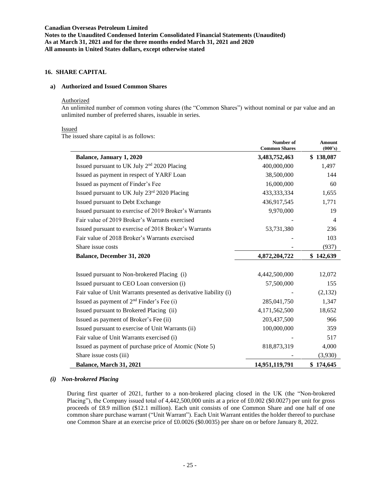# **16. SHARE CAPITAL**

#### **a) Authorized and Issued Common Shares**

#### Authorized

An unlimited number of common voting shares (the "Common Shares") without nominal or par value and an unlimited number of preferred shares, issuable in series.

#### Issued

The issued share capital is as follows:

| c issucu share capital is as follows.                             | Number of<br><b>Common Shares</b> | <b>Amount</b><br>(000's) |
|-------------------------------------------------------------------|-----------------------------------|--------------------------|
| <b>Balance, January 1, 2020</b>                                   | 3,483,752,463                     | \$138,087                |
| Issued pursuant to UK July 2 <sup>nd</sup> 2020 Placing           | 400,000,000                       | 1,497                    |
| Issued as payment in respect of YARF Loan                         | 38,500,000                        | 144                      |
| Issued as payment of Finder's Fee                                 | 16,000,000                        | 60                       |
| Issued pursuant to UK July 23rd 2020 Placing                      | 433, 333, 334                     | 1,655                    |
| Issued pursuant to Debt Exchange                                  | 436,917,545                       | 1,771                    |
| Issued pursuant to exercise of 2019 Broker's Warrants             | 9,970,000                         | 19                       |
| Fair value of 2019 Broker's Warrants exercised                    |                                   | $\overline{4}$           |
| Issued pursuant to exercise of 2018 Broker's Warrants             | 53,731,380                        | 236                      |
| Fair value of 2018 Broker's Warrants exercised                    |                                   | 103                      |
| Share issue costs                                                 |                                   | (937)                    |
| <b>Balance, December 31, 2020</b>                                 | 4,872,204,722                     | \$142,639                |
| Issued pursuant to Non-brokered Placing (i)                       | 4,442,500,000                     | 12,072                   |
| Issued pursuant to CEO Loan conversion (i)                        | 57,500,000                        | 155                      |
| Fair value of Unit Warrants presented as derivative liability (i) |                                   | (2,132)                  |
| Issued as payment of 2 <sup>nd</sup> Finder's Fee (i)             | 285,041,750                       | 1,347                    |
| Issued pursuant to Brokered Placing (ii)                          | 4,171,562,500                     | 18,652                   |
| Issued as payment of Broker's Fee (ii)                            | 203,437,500                       | 966                      |
| Issued pursuant to exercise of Unit Warrants (ii)                 | 100,000,000                       | 359                      |
| Fair value of Unit Warrants exercised (i)                         |                                   | 517                      |
| Issued as payment of purchase price of Atomic (Note 5)            | 818,873,319                       | 4,000                    |
| Share issue costs (iii)                                           |                                   | (3,930)                  |
| Balance, March 31, 2021                                           | 14,951,119,791                    | \$174,645                |

### *(i) Non-brokered Placing*

During first quarter of 2021, further to a non-brokered placing closed in the UK (the "Non-brokered Placing"), the Company issued total of 4,442,500,000 units at a price of £0.002 (\$0.0027) per unit for gross proceeds of £8.9 million (\$12.1 million). Each unit consists of one Common Share and one half of one common share purchase warrant ("Unit Warrant"). Each Unit Warrant entitles the holder thereof to purchase one Common Share at an exercise price of £0.0026 (\$0.0035) per share on or before January 8, 2022.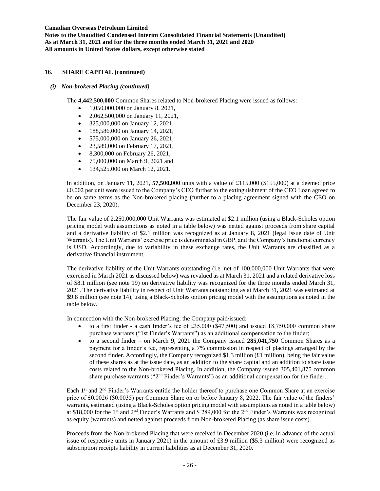**Notes to the Unaudited Condensed Interim Consolidated Financial Statements (Unaudited) As at March 31, 2021 and for the three months ended March 31, 2021 and 2020 All amounts in United States dollars, except otherwise stated**

# **16. SHARE CAPITAL (continued)**

*(i) Non-brokered Placing (continued)*

The **4,442,500,000** Common Shares related to Non-brokered Placing were issued as follows:

- 1,050,000,000 on January 8, 2021,
- 2,062,500,000 on January 11, 2021,
- 325,000,000 on January 12, 2021,
- 188,586,000 on January 14, 2021.
- 575,000,000 on January 26, 2021,
- 23,589,000 on February 17, 2021,
- 8,300,000 on February 26, 2021,
- 75,000,000 on March 9, 2021 and
- 134,525,000 on March 12, 2021.

In addition, on January 11, 2021, **57,500,000** units with a value of £115,000 (\$155,000) at a deemed price £0.002 per unit were issued to the Company's CEO further to the extinguishment of the CEO Loan agreed to be on same terms as the Non-brokered placing (further to a placing agreement signed with the CEO on December 23, 2020).

The fair value of 2,250,000,000 Unit Warrants was estimated at \$2.1 million (using a Black-Scholes option pricing model with assumptions as noted in a table below) was netted against proceeds from share capital and a derivative liability of \$2.1 million was recognized as at January 8, 2021 (legal issue date of Unit Warrants). The Unit Warrants' exercise price is denominated in GBP, and the Company's functional currency is USD. Accordingly, due to variability in these exchange rates, the Unit Warrants are classified as a derivative financial instrument.

The derivative liability of the Unit Warrants outstanding (i.e. net of 100,000,000 Unit Warrants that were exercised in March 2021 as discussed below) was revalued as at March 31, 2021 and a related derivative loss of \$8.1 million (see note 19) on derivative liability was recognized for the three months ended March 31, 2021. The derivative liability in respect of Unit Warrants outstanding as at March 31, 2021 was estimated at \$9.8 million (see note 14), using a Black-Scholes option pricing model with the assumptions as noted in the table below.

In connection with the Non-brokered Placing, the Company paid/issued:

- to a first finder a cash finder's fee of £35,000 (\$47,500) and issued  $18,750,000$  common share purchase warrants ("1st Finder's Warrants") as an additional compensation to the finder;
- to a second finder on March 9, 2021 the Company issued **285,041,750** Common Shares as a payment for a finder's fee, representing a 7% commission in respect of placings arranged by the second finder. Accordingly, the Company recognized \$1.3 million ( $\pounds$ 1 million), being the fair value of these shares as at the issue date, as an addition to the share capital and an addition to share issue costs related to the Non-brokered Placing. In addition, the Company issued 305,401,875 common share purchase warrants ("2<sup>nd</sup> Finder's Warrants") as an additional compensation for the finder.

Each 1<sup>st</sup> and 2<sup>nd</sup> Finder's Warrants entitle the holder thereof to purchase one Common Share at an exercise price of £0.0026 (\$0.0035) per Common Share on or before January 8, 2022. The fair value of the finders' warrants, estimated (using a Black-Scholes option pricing model with assumptions as noted in a table below) at \$18,000 for the 1st and 2nd Finder's Warrants and \$ 289,000 for the 2nd Finder's Warrants was recognized as equity (warrants) and netted against proceeds from Non-brokered Placing (as share issue costs).

Proceeds from the Non-brokered Placing that were received in December 2020 (i.e. in advance of the actual issue of respective units in January 2021) in the amount of £3.9 million (\$5.3 million) were recognized as subscription receipts liability in current liabilities as at December 31, 2020.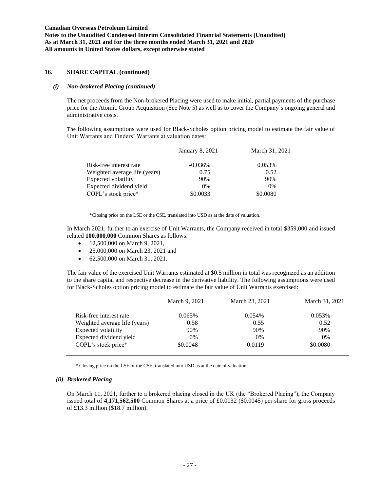## **16. SHARE CAPITAL (continued)**

### *(i) Non-brokered Placing (continued)*

The net proceeds from the Non-brokered Placing were used to make initial, partial payments of the purchase price for the Atomic Group Acquisition (See Note 5) as well as to cover the Company's ongoing general and administrative costs.

The following assumptions were used for Black-Scholes option pricing model to estimate the fair value of Unit Warrants and Finders' Warrants at valuation dates:

|                               | <b>January 8, 2021</b> | March 31, 2021 |
|-------------------------------|------------------------|----------------|
| Risk-free interest rate       | $-0.036\%$             | 0.053%         |
| Weighted average life (years) | 0.75                   | 0.52           |
| Expected volatility           | 90%                    | 90%            |
| Expected dividend yield       | 0%                     | 0%             |
| COPL's stock price*           | \$0.0033               | \$0.0080       |

\*Closing price on the LSE or the CSE, translated into USD as at the date of valuation.

In March 2021, further to an exercise of Unit Warrants, the Company received in total \$359,000 and issued related **100,000,000** Common Shares as follows:

- 12,500,000 on March 9, 2021,
- 25,000,000 on March 23, 2021 and
- 62,500,000 on March 31, 2021.

The fair value of the exercised Unit Warrants estimated at \$0.5 million in total was recognized as an addition to the share capital and respective decrease in the derivative liability. The following assumptions were used for Black-Scholes option pricing model to estimate the fair value of Unit Warrants exercised:

| March 9, 2021 | March 23, 2021 | March 31, 2021 |
|---------------|----------------|----------------|
|               |                |                |
|               |                | $0.053\%$      |
| 0.58          | 0.55           | 0.52           |
| 90%           | 90%            | 90%            |
| $0\%$         | $0\%$          | $0\%$          |
| \$0.0048      | 0.0119         | \$0.0080       |
|               | 0.065%         | 0.054%         |

\* Closing price on the LSE or the CSE, translated into USD as at the date of valuation.

### *(ii) Brokered Placing*

On March 11, 2021, further to a brokered placing closed in the UK (the "Brokered Placing"), the Company issued total of **4,171,562,500** Common Shares at a price of £0.0032 (\$0.0045) per share for gross proceeds of £13.3 million (\$18.7 million).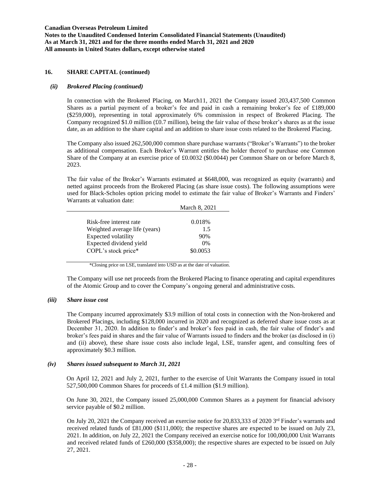## **16. SHARE CAPITAL (continued)**

## *(ii) Brokered Placing (continued)*

In connection with the Brokered Placing, on March11, 2021 the Company issued 203,437,500 Common Shares as a partial payment of a broker's fee and paid in cash a remaining broker's fee of £189,000 (\$259,000), representing in total approximately 6% commission in respect of Brokered Placing. The Company recognized \$1.0 million (£0.7 million), being the fair value of these broker's shares as at the issue date, as an addition to the share capital and an addition to share issue costs related to the Brokered Placing.

The Company also issued 262,500,000 common share purchase warrants ("Broker's Warrants") to the broker as additional compensation. Each Broker's Warrant entitles the holder thereof to purchase one Common Share of the Company at an exercise price of £0.0032 (\$0.0044) per Common Share on or before March 8, 2023.

The fair value of the Broker's Warrants estimated at \$648,000, was recognized as equity (warrants) and netted against proceeds from the Brokered Placing (as share issue costs). The following assumptions were used for Black-Scholes option pricing model to estimate the fair value of Broker's Warrants and Finders' Warrants at valuation date:

|                               | March 8, 2021 |
|-------------------------------|---------------|
| Risk-free interest rate       | 0.018%        |
| Weighted average life (years) | 1.5           |
| Expected volatility           | 90%           |
| Expected dividend yield       | 0%            |
| COPL's stock price*           | \$0.0053      |
|                               |               |

\*Closing price on LSE, translated into USD as at the date of valuation.

The Company will use net proceeds from the Brokered Placing to finance operating and capital expenditures of the Atomic Group and to cover the Company's ongoing general and administrative costs.

### *(iii) Share issue cost*

The Company incurred approximately \$3.9 million of total costs in connection with the Non-brokered and Brokered Placings, including \$128,000 incurred in 2020 and recognized as deferred share issue costs as at December 31, 2020. In addition to finder's and broker's fees paid in cash, the fair value of finder's and broker's fees paid in shares and the fair value of Warrants issued to finders and the broker (as disclosed in (i) and (ii) above), these share issue costs also include legal, LSE, transfer agent, and consulting fees of approximately \$0.3 million.

# *(iv) Shares issued subsequent to March 31, 2021*

On April 12, 2021 and July 2, 2021, further to the exercise of Unit Warrants the Company issued in total 527,500,000 Common Shares for proceeds of £1.4 million (\$1.9 million).

On June 30, 2021, the Company issued 25,000,000 Common Shares as a payment for financial advisory service payable of \$0.2 million.

On July 20, 2021 the Company received an exercise notice for 20,833,333 of 2020 3<sup>rd</sup> Finder's warrants and received related funds of £81,000 (\$111,000); the respective shares are expected to be issued on July 23, 2021. In addition, on July 22, 2021 the Company received an exercise notice for 100,000,000 Unit Warrants and received related funds of £260,000 (\$358,000); the respective shares are expected to be issued on July 27, 2021.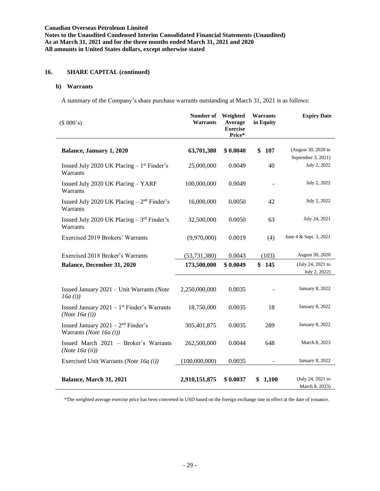**Notes to the Unaudited Condensed Interim Consolidated Financial Statements (Unaudited) As at March 31, 2021 and for the three months ended March 31, 2021 and 2020 All amounts in United States dollars, except otherwise stated**

# **16. SHARE CAPITAL (continued)**

# **b) Warrants**

A summary of the Company's share purchase warrants outstanding at March 31, 2021 is as follows:

| (\$000's)                                                           | Number of<br><b>Warrants</b> | Weighted<br>Average<br><b>Exercise</b><br>Price* | <b>Warrants</b><br>in Equity | <b>Expiry Date</b>                        |
|---------------------------------------------------------------------|------------------------------|--------------------------------------------------|------------------------------|-------------------------------------------|
| Balance, January 1, 2020                                            | 63,701,380                   | \$0.0040                                         | \$<br>107                    | (August 30, 2020 to<br>September 3, 2021) |
| Issued July 2020 UK Placing $-1$ <sup>st</sup> Finder's<br>Warrants | 25,000,000                   | 0.0049                                           | 40                           | July 2, 2022                              |
| Issued July 2020 UK Placing - YARF<br>Warrants                      | 100,000,000                  | 0.0049                                           |                              | July 2, 2022                              |
| Issued July 2020 UK Placing $-2nd$ Finder's<br>Warrants             | 16,000,000                   | 0.0050                                           | 42                           | July 2, 2022                              |
| Issued July 2020 UK Placing $-3^{rd}$ Finder's<br>Warrants          | 32,500,000                   | 0.0050                                           | 63                           | July 24, 2021                             |
| Exercised 2019 Brokers' Warrants                                    | (9,970,000)                  | 0.0019                                           | (4)                          | June 4 & Sept. 3, 2021                    |
| Exercised 2018 Broker's Warrants                                    | (53, 731, 380)               | 0.0043                                           | (103)                        | August 30, 2020                           |
| Balance, December 31, 2020                                          | 173,500,000                  | \$0.0049                                         | \$145                        | (July 24, 2021 to<br>July 2, 2022)        |
| Issued January 2021 - Unit Warrants (Note<br>16a(i)                 | 2,250,000,000                | 0.0035                                           |                              | January 8, 2022                           |
| Issued January 2021 – $1st$ Finder's Warrants<br>(Note $16a(i)$ )   | 18,750,000                   | 0.0035                                           | 18                           | January 8, 2022                           |
| Issued January $2021 - 2nd$ Finder's<br>Warrants (Note 16a $(i)$ )  | 305,401,875                  | 0.0035                                           | 289                          | January 8, 2022                           |
| Issued March 2021 - Broker's Warrants<br>(Note 16a (ii))            | 262,500,000                  | 0.0044                                           | 648                          | March 8, 2023                             |
| Exercised Unit Warrants (Note 16a (i))                              | (100,000,000)                | 0.0035                                           |                              | January 8, 2022                           |
| Balance, March 31, 2021                                             | 2,910,151,875                | \$0.0037                                         | \$1,100                      | (July 24, 2021 to<br>March 8, 2023)       |

\*The weighted average exercise price has been converted in USD based on the foreign exchange rate in effect at the date of issuance.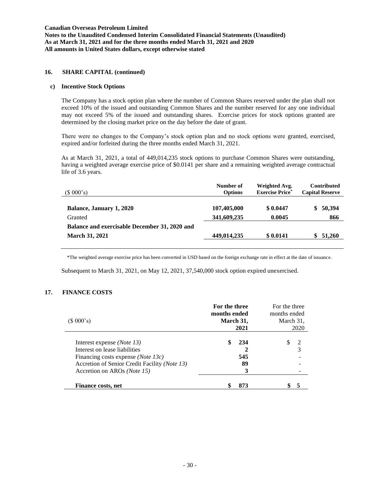## **16. SHARE CAPITAL (continued)**

## **c) Incentive Stock Options**

The Company has a stock option plan where the number of Common Shares reserved under the plan shall not exceed 10% of the issued and outstanding Common Shares and the number reserved for any one individual may not exceed 5% of the issued and outstanding shares. Exercise prices for stock options granted are determined by the closing market price on the day before the date of grant.

There were no changes to the Company's stock option plan and no stock options were granted, exercised, expired and/or forfeited during the three months ended March 31, 2021.

As at March 31, 2021, a total of 449,014,235 stock options to purchase Common Shares were outstanding, having a weighted average exercise price of \$0.0141 per share and a remaining weighted average contractual life of 3.6 years.

| (\$000's)                                     | Number of<br><b>Options</b> | Weighted Avg.<br><b>Exercise Price*</b> | <b>Contributed</b><br><b>Capital Reserve</b> |
|-----------------------------------------------|-----------------------------|-----------------------------------------|----------------------------------------------|
| Balance, January 1, 2020                      | 107,405,000                 | \$0.0447                                | 50,394<br>SS.                                |
| Granted                                       | 341,609,235                 | 0.0045                                  | 866                                          |
| Balance and exercisable December 31, 2020 and |                             |                                         |                                              |
| <b>March 31, 2021</b>                         | 449,014,235                 | \$0.0141                                | 51,260<br>S.                                 |
|                                               |                             |                                         |                                              |

\*The weighted average exercise price has been converted in USD based on the foreign exchange rate in effect at the date of issuance.

Subsequent to March 31, 2021, on May 12, 2021, 37,540,000 stock option expired unexercised.

## **17. FINANCE COSTS**

| (\$000's)                                                                                                                                                                                                           | For the three<br>months ended<br>March 31,<br>2021 | For the three<br>months ended<br>March 31,<br>2020 |
|---------------------------------------------------------------------------------------------------------------------------------------------------------------------------------------------------------------------|----------------------------------------------------|----------------------------------------------------|
| Interest expense <i>(Note 13)</i><br>Interest on lease liabilities<br>Financing costs expense ( <i>Note 13c</i> )<br>Accretion of Senior Credit Facility ( <i>Note 13</i> )<br>Accretion on AROs ( <i>Note 15</i> ) | \$<br>234<br>545<br>89<br>3                        | S<br>$\mathcal{D}$<br>3                            |
| Finance costs, net                                                                                                                                                                                                  | 873<br>\$                                          |                                                    |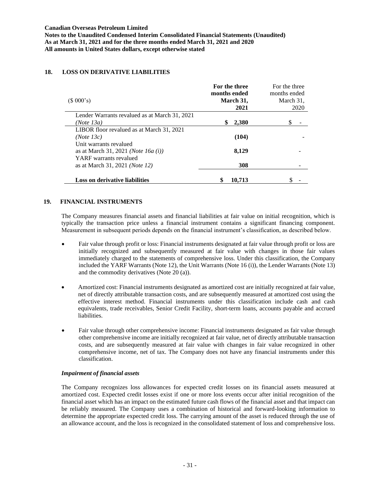# **18. LOSS ON DERIVATIVE LIABILITIES**

|                                                                                                  | For the three<br>months ended | For the three<br>months ended |
|--------------------------------------------------------------------------------------------------|-------------------------------|-------------------------------|
| (\$000's)                                                                                        | March 31,<br>2021             | March 31,<br>2020             |
| Lender Warrants revalued as at March 31, 2021<br>(Note 13a)                                      | 2,380                         |                               |
| LIBOR floor revalued as at March 31, 2021<br>(Note 13c)                                          | (104)                         |                               |
| Unit warrants revalued<br>as at March 31, 2021 ( <i>Note 16a (i)</i> )<br>YARF warrants revalued | 8,129                         |                               |
| as at March 31, 2021 ( <i>Note 12</i> )                                                          | 308                           |                               |
| <b>Loss on derivative liabilities</b>                                                            | 10.713                        |                               |

## **19. FINANCIAL INSTRUMENTS**

The Company measures financial assets and financial liabilities at fair value on initial recognition, which is typically the transaction price unless a financial instrument contains a significant financing component. Measurement in subsequent periods depends on the financial instrument's classification, as described below.

- Fair value through profit or loss: Financial instruments designated at fair value through profit or loss are initially recognized and subsequently measured at fair value with changes in those fair values immediately charged to the statements of comprehensive loss. Under this classification, the Company included the YARF Warrants (Note 12), the Unit Warrants (Note 16 (i)), the Lender Warrants (Note 13) and the commodity derivatives (Note 20 (a)).
- Amortized cost: Financial instruments designated as amortized cost are initially recognized at fair value, net of directly attributable transaction costs, and are subsequently measured at amortized cost using the effective interest method. Financial instruments under this classification include cash and cash equivalents, trade receivables, Senior Credit Facility, short-term loans, accounts payable and accrued liabilities.
- Fair value through other comprehensive income: Financial instruments designated as fair value through other comprehensive income are initially recognized at fair value, net of directly attributable transaction costs, and are subsequently measured at fair value with changes in fair value recognized in other comprehensive income, net of tax. The Company does not have any financial instruments under this classification.

# *Impairment of financial assets*

The Company recognizes loss allowances for expected credit losses on its financial assets measured at amortized cost. Expected credit losses exist if one or more loss events occur after initial recognition of the financial asset which has an impact on the estimated future cash flows of the financial asset and that impact can be reliably measured. The Company uses a combination of historical and forward-looking information to determine the appropriate expected credit loss. The carrying amount of the asset is reduced through the use of an allowance account, and the loss is recognized in the consolidated statement of loss and comprehensive loss.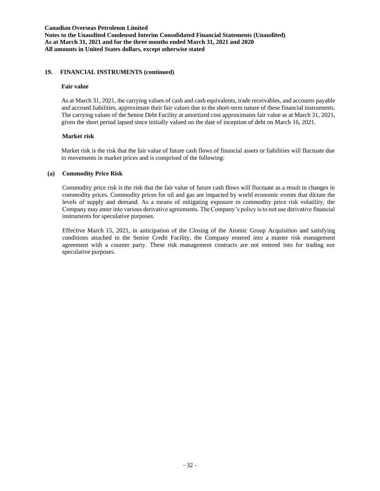# **19. FINANCIAL INSTRUMENTS (continued)**

### **Fair value**

As at March 31, 2021, the carrying values of cash and cash equivalents, trade receivables, and accounts payable and accrued liabilities, approximate their fair values due to the short-term nature of these financial instruments. The carrying values of the Senior Debt Facility at amortized cost approximates fair value as at March 31, 2021, given the short period lapsed since initially valued on the date of inception of debt on March 16, 2021.

## **Market risk**

Market risk is the risk that the fair value of future cash flows of financial assets or liabilities will fluctuate due to movements in market prices and is comprised of the following:

## **(a) Commodity Price Risk**

Commodity price risk is the risk that the fair value of future cash flows will fluctuate as a result in changes in commodity prices. Commodity prices for oil and gas are impacted by world economic events that dictate the levels of supply and demand. As a means of mitigating exposure to commodity price risk volatility, the Company may enter into various derivative agreements. The Company's policy is to not use derivative financial instruments for speculative purposes.

Effective March 15, 2021, in anticipation of the Closing of the Atomic Group Acquisition and satisfying conditions attached to the Senior Credit Facility, the Company entered into a master risk management agreement with a counter party. These risk management contracts are not entered into for trading nor speculative purposes.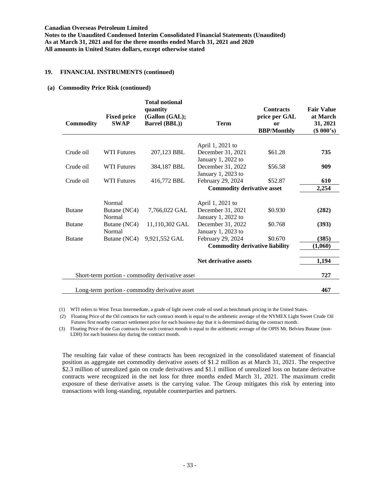**Notes to the Unaudited Condensed Interim Consolidated Financial Statements (Unaudited) As at March 31, 2021 and for the three months ended March 31, 2021 and 2020 All amounts in United States dollars, except otherwise stated**

## **19. FINANCIAL INSTRUMENTS (continued)**

#### **(a) Commodity Price Risk (continued)**

| <b>Commodity</b> | <b>Fixed price</b><br><b>SWAP</b> | <b>Total notional</b><br>quantity<br>(Gallon (GAL);<br><b>Barrel (BBL))</b> | <b>Term</b>                           | <b>Contracts</b><br>price per GAL<br><b>or</b><br><b>BBP/Monthly</b> | <b>Fair Value</b><br>at March<br>31, 2021<br>$(S\ 000's)$ |
|------------------|-----------------------------------|-----------------------------------------------------------------------------|---------------------------------------|----------------------------------------------------------------------|-----------------------------------------------------------|
|                  |                                   |                                                                             |                                       |                                                                      |                                                           |
|                  |                                   |                                                                             | April 1, 2021 to                      |                                                                      |                                                           |
| Crude oil        | <b>WTI Futures</b>                | 207,123 BBL                                                                 | December 31, 2021                     | \$61.28                                                              | 735                                                       |
|                  |                                   |                                                                             | January 1, 2022 to                    |                                                                      |                                                           |
| Crude oil        | <b>WTI Futures</b>                | 384,187 BBL                                                                 | December 31, 2022                     | \$56.58                                                              | 909                                                       |
|                  |                                   |                                                                             | January 1, 2023 to                    |                                                                      |                                                           |
| Crude oil        | <b>WTI Futures</b>                | 416,772 BBL                                                                 | February 29, 2024                     | \$52.87                                                              | 610                                                       |
|                  |                                   |                                                                             | <b>Commodity derivative asset</b>     |                                                                      | 2,254                                                     |
|                  | Normal                            |                                                                             | April 1, 2021 to                      |                                                                      |                                                           |
| <b>Butane</b>    | Butane (NC4)                      | 7,766,022 GAL                                                               | December 31, 2021                     | \$0.930                                                              | (282)                                                     |
|                  | Normal                            |                                                                             | January 1, 2022 to                    |                                                                      |                                                           |
| <b>Butane</b>    | Butane (NC4)                      | 11,110,302 GAL                                                              | December 31, 2022                     | \$0.768                                                              | (393)                                                     |
|                  | Normal                            |                                                                             | January 1, 2023 to                    |                                                                      |                                                           |
| <b>Butane</b>    | Butane (NC4)                      | 9,921,552 GAL                                                               | February 29, 2024                     | \$0.670                                                              | (385)                                                     |
|                  |                                   |                                                                             | <b>Commodity derivative liability</b> |                                                                      | (1,060)                                                   |
|                  |                                   |                                                                             |                                       |                                                                      |                                                           |
|                  |                                   |                                                                             | <b>Net derivative assets</b>          |                                                                      | 1,194                                                     |
|                  |                                   |                                                                             |                                       |                                                                      |                                                           |
|                  |                                   | Short-term portion - commodity derivative asset                             |                                       |                                                                      | 727                                                       |
|                  |                                   | Long-term portion - commodity derivative asset                              |                                       |                                                                      | 467                                                       |

(1) WTI refers to West Texas Intermediate, a grade of light sweet crude oil used as benchmark pricing in the United States.

(2) Floating Price of the Oil contracts for each contract month is equal to the arithmetic average of the NYMEX Light Sweet Crude Oil Futures first nearby contract settlement price for each business day that it is determined during the contract month.

(3) Floating Price of the Gas contracts for each contract month is equal to the arithmetic average of the OPIS Mt. Belvieu Butane (non-LDH) for each business day during the contract month.

The resulting fair value of these contracts has been recognized in the consolidated statement of financial position as aggregate net commodity derivative assets of \$1.2 million as at March 31, 2021. The respective \$2.3 million of unrealized gain on crude derivatives and \$1.1 million of unrealized loss on butane derivative contracts were recognized in the net loss for three months ended March 31, 2021. The maximum credit exposure of these derivative assets is the carrying value. The Group mitigates this risk by entering into transactions with long-standing, reputable counterparties and partners.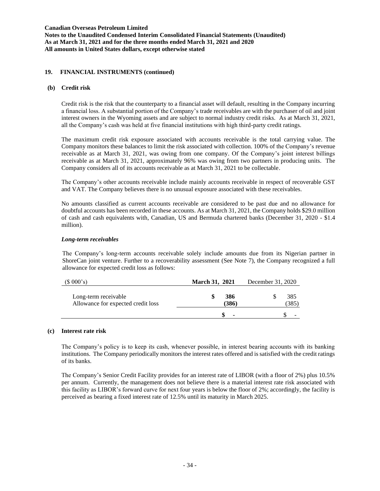# **19. FINANCIAL INSTRUMENTS (continued)**

### **(b) Credit risk**

Credit risk is the risk that the counterparty to a financial asset will default, resulting in the Company incurring a financial loss. A substantial portion of the Company's trade receivables are with the purchaser of oil and joint interest owners in the Wyoming assets and are subject to normal industry credit risks. As at March 31, 2021, all the Company's cash was held at five financial institutions with high third-party credit ratings.

The maximum credit risk exposure associated with accounts receivable is the total carrying value. The Company monitors these balances to limit the risk associated with collection. 100% of the Company's revenue receivable as at March 31, 2021, was owing from one company. Of the Company's joint interest billings receivable as at March 31, 2021, approximately 96% was owing from two partners in producing units. The Company considers all of its accounts receivable as at March 31, 2021 to be collectable.

The Company's other accounts receivable include mainly accounts receivable in respect of recoverable GST and VAT. The Company believes there is no unusual exposure associated with these receivables.

No amounts classified as current accounts receivable are considered to be past due and no allowance for doubtful accounts has been recorded in these accounts. As at March 31, 2021, the Company holds \$29.0 million of cash and cash equivalents with, Canadian, US and Bermuda chartered banks (December 31, 2020 - \$1.4 million).

## *Long-term receivables*

The Company's long-term accounts receivable solely include amounts due from its Nigerian partner in ShoreCan joint venture. Further to a recoverability assessment (See Note 7), the Company recognized a full allowance for expected credit loss as follows:

| (\$000's)                                                  | <b>March 31, 2021</b> | December 31, 2020 |
|------------------------------------------------------------|-----------------------|-------------------|
| Long-term receivable<br>Allowance for expected credit loss | 386<br>(386)          | 385<br>385)       |
|                                                            |                       |                   |

# **(c) Interest rate risk**

The Company's policy is to keep its cash, whenever possible, in interest bearing accounts with its banking institutions. The Company periodically monitors the interest rates offered and is satisfied with the credit ratings of its banks.

The Company's Senior Credit Facility provides for an interest rate of LIBOR (with a floor of 2%) plus 10.5% per annum. Currently, the management does not believe there is a material interest rate risk associated with this facility as LIBOR's forward curve for next four years is below the floor of 2%; accordingly, the facility is perceived as bearing a fixed interest rate of 12.5% until its maturity in March 2025.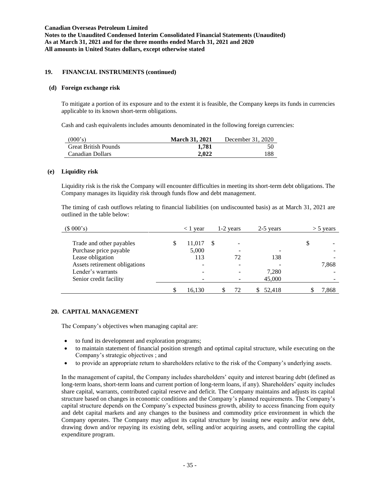# **19. FINANCIAL INSTRUMENTS (continued)**

### **(d) Foreign exchange risk**

To mitigate a portion of its exposure and to the extent it is feasible, the Company keeps its funds in currencies applicable to its known short-term obligations.

Cash and cash equivalents includes amounts denominated in the following foreign currencies:

| (000's)                     | <b>March 31, 2021</b> | December 31, 2020 |
|-----------------------------|-----------------------|-------------------|
| <b>Great British Pounds</b> | 1.781                 | 50                |
| Canadian Dollars            | 2.022                 | 188               |

### **(e) Liquidity risk**

Liquidity risk is the risk the Company will encounter difficulties in meeting its short-term debt obligations. The Company manages its liquidity risk through funds flow and debt management.

The timing of cash outflows relating to financial liabilities (on undiscounted basis) as at March 31, 2021 are outlined in the table below:

| (\$000's)                                          | $<$ 1 year            | 1-2 years |    | 2-5 years |   | $>$ 5 years |
|----------------------------------------------------|-----------------------|-----------|----|-----------|---|-------------|
| Trade and other payables<br>Purchase price payable | \$<br>11,017<br>5,000 |           |    |           | J |             |
| Lease obligation                                   | 113                   |           | 72 | 138       |   |             |
| Assets retirement obligations                      |                       |           |    |           |   | 7,868       |
| Lender's warrants                                  |                       |           |    | 7,280     |   |             |
| Senior credit facility                             |                       |           |    | 45,000    |   |             |
|                                                    | 16.130                |           | 72 | 52,418    |   | 7,868       |

# **20. CAPITAL MANAGEMENT**

The Company's objectives when managing capital are:

- to fund its development and exploration programs;
- to maintain statement of financial position strength and optimal capital structure, while executing on the Company's strategic objectives ; and
- to provide an appropriate return to shareholders relative to the risk of the Company's underlying assets.

In the management of capital, the Company includes shareholders' equity and interest bearing debt (defined as long-term loans, short-term loans and current portion of long-term loans, if any). Shareholders' equity includes share capital, warrants, contributed capital reserve and deficit. The Company maintains and adjusts its capital structure based on changes in economic conditions and the Company's planned requirements. The Company's capital structure depends on the Company's expected business growth, ability to access financing from equity and debt capital markets and any changes to the business and commodity price environment in which the Company operates. The Company may adjust its capital structure by issuing new equity and/or new debt, drawing down and/or repaying its existing debt, selling and/or acquiring assets, and controlling the capital expenditure program.